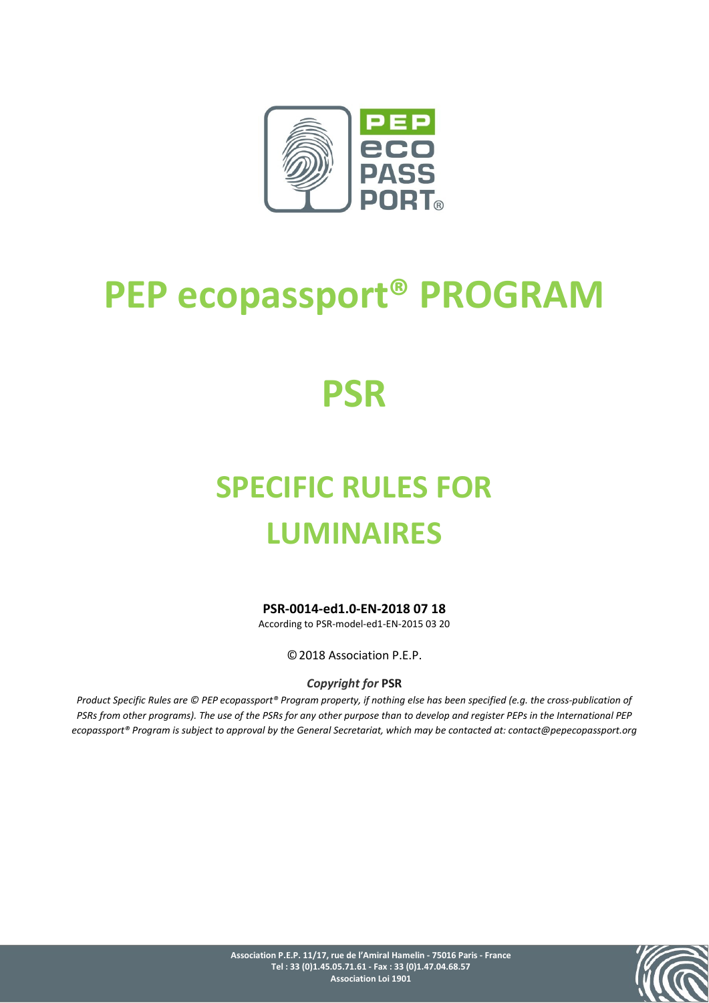

# **PEP ecopassport® PROGRAM**

# **PSR**

# **SPECIFIC RULES FOR LUMINAIRES**

**PSR-0014-ed1.0-EN-2018 07 18**

According to PSR-model-ed1-EN-2015 03 20

©2018 Association P.E.P.

*Copyright for* **PSR**

*Product Specific Rules are © PEP ecopassport® Program property, if nothing else has been specified (e.g. the cross-publication of PSRs from other programs). The use of the PSRs for any other purpose than to develop and register PEPs in the International PEP ecopassport® Program is subject to approval by the General Secretariat, which may be contacted at: contact@pepecopassport.org*

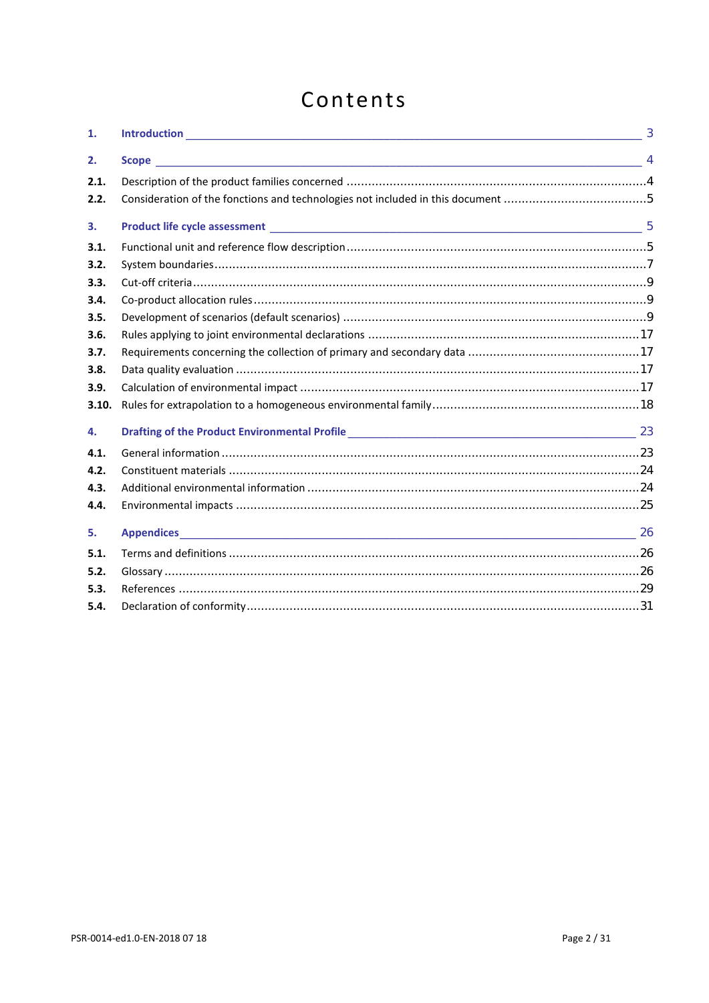# Contents

| 1.    |  |
|-------|--|
| 2.    |  |
| 2.1.  |  |
| 2.2.  |  |
| 3.    |  |
| 3.1.  |  |
| 3.2.  |  |
| 3.3.  |  |
| 3.4.  |  |
| 3.5.  |  |
| 3.6.  |  |
| 3.7.  |  |
| 3.8.  |  |
| 3.9.  |  |
| 3.10. |  |
| 4.    |  |
| 4.1.  |  |
| 4.2.  |  |
| 4.3.  |  |
| 4.4.  |  |
| 5.    |  |
| 5.1.  |  |
| 5.2.  |  |
| 5.3.  |  |
| 5.4.  |  |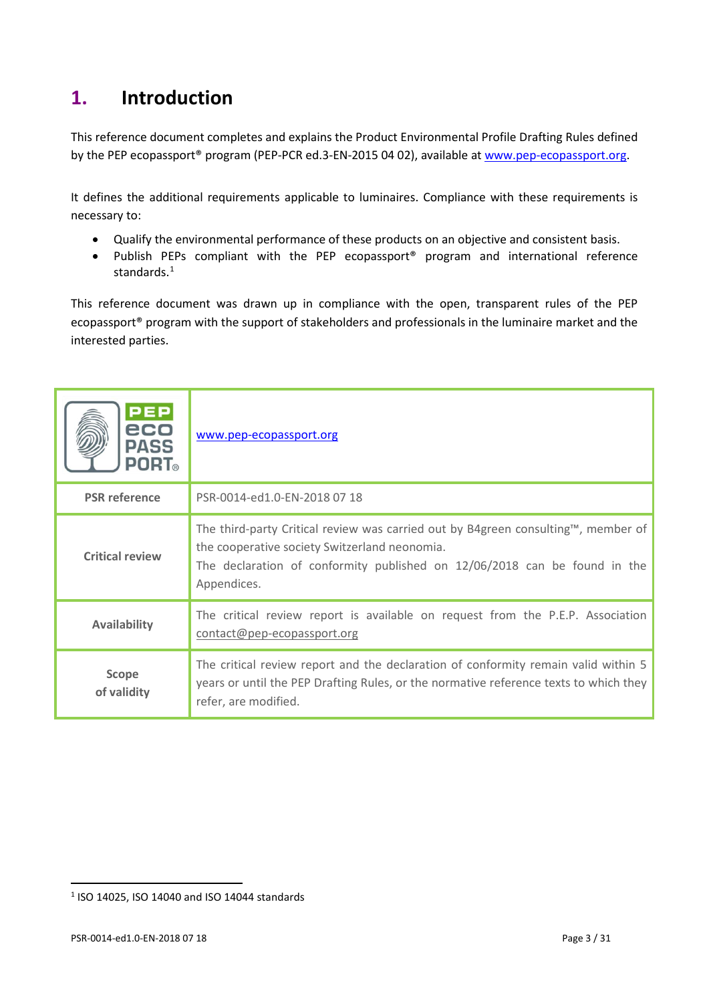# <span id="page-2-0"></span>**1. Introduction**

This reference document completes and explains the Product Environmental Profile Drafting Rules defined by the PEP ecopassport<sup>®</sup> program (PEP-PCR ed.3-EN-2015 04 02), available at [www.pep-ecopassport.org.](http://www.pep-ecopassport.org/)

It defines the additional requirements applicable to luminaires. Compliance with these requirements is necessary to:

- Qualify the environmental performance of these products on an objective and consistent basis.
- Publish PEPs compliant with the PEP ecopassport® program and international reference standards.[1](#page-2-1)

This reference document was drawn up in compliance with the open, transparent rules of the PEP ecopassport® program with the support of stakeholders and professionals in the luminaire market and the interested parties.

| <b>PEP</b><br>eco<br><b>PASS</b><br><b>PORT</b> ® | www.pep-ecopassport.org                                                                                                                                                                                                        |
|---------------------------------------------------|--------------------------------------------------------------------------------------------------------------------------------------------------------------------------------------------------------------------------------|
| <b>PSR</b> reference                              | PSR-0014-ed1.0-EN-2018 07 18                                                                                                                                                                                                   |
| <b>Critical review</b>                            | The third-party Critical review was carried out by B4green consulting™, member of<br>the cooperative society Switzerland neonomia.<br>The declaration of conformity published on 12/06/2018 can be found in the<br>Appendices. |
| <b>Availability</b>                               | The critical review report is available on request from the P.E.P. Association<br>contact@pep-ecopassport.org                                                                                                                  |
| <b>Scope</b><br>of validity                       | The critical review report and the declaration of conformity remain valid within 5<br>years or until the PEP Drafting Rules, or the normative reference texts to which they<br>refer, are modified.                            |

 $\overline{a}$ 

<span id="page-2-1"></span><sup>1</sup> ISO 14025, ISO 14040 and ISO 14044 standards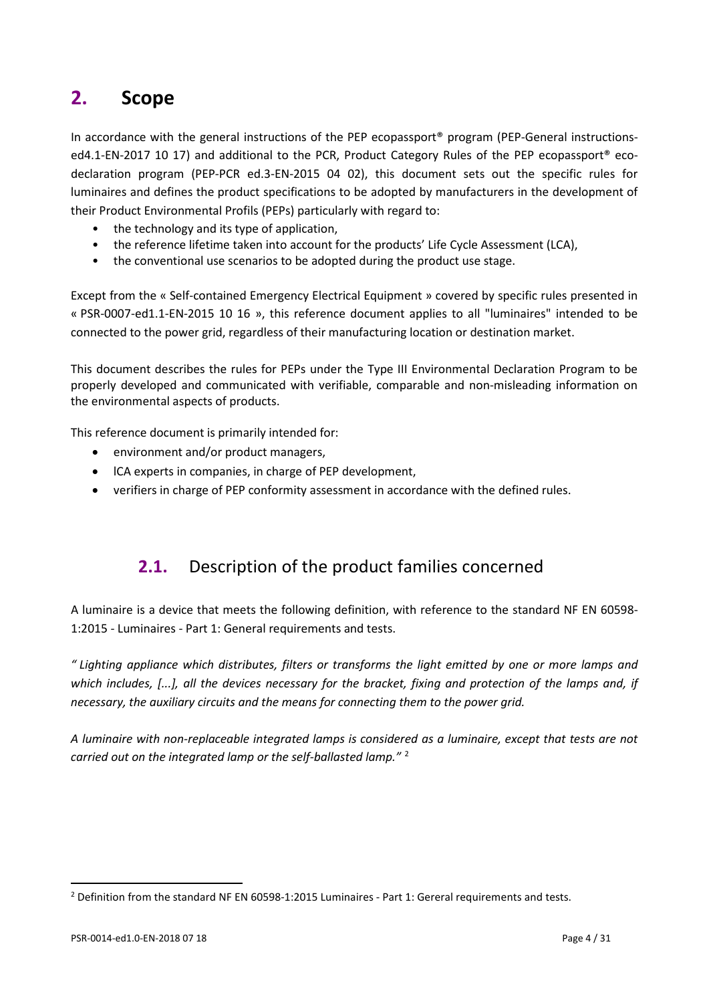# <span id="page-3-0"></span>**2. Scope**

In accordance with the general instructions of the PEP ecopassport<sup>®</sup> program (PEP-General instructionsed4.1-EN-2017 10 17) and additional to the PCR, Product Category Rules of the PEP ecopassport<sup>®</sup> ecodeclaration program (PEP-PCR ed.3-EN-2015 04 02), this document sets out the specific rules for luminaires and defines the product specifications to be adopted by manufacturers in the development of their Product Environmental Profils (PEPs) particularly with regard to:

- the technology and its type of application,
- the reference lifetime taken into account for the products' Life Cycle Assessment (LCA),
- the conventional use scenarios to be adopted during the product use stage.

Except from the « Self-contained Emergency Electrical Equipment » covered by specific rules presented in « PSR-0007-ed1.1-EN-2015 10 16 », this reference document applies to all "luminaires" intended to be connected to the power grid, regardless of their manufacturing location or destination market.

This document describes the rules for PEPs under the Type III Environmental Declaration Program to be properly developed and communicated with verifiable, comparable and non-misleading information on the environmental aspects of products.

This reference document is primarily intended for:

- environment and/or product managers,
- ICA experts in companies, in charge of PEP development,
- <span id="page-3-1"></span>• verifiers in charge of PEP conformity assessment in accordance with the defined rules.

### **2.1.** Description of the product families concerned

A luminaire is a device that meets the following definition, with reference to the standard NF EN 60598- 1:2015 - Luminaires - Part 1: General requirements and tests.

*" Lighting appliance which distributes, filters or transforms the light emitted by one or more lamps and*  which includes, [...], all the devices necessary for the bracket, fixing and protection of the lamps and, if *necessary, the auxiliary circuits and the means for connecting them to the power grid.*

*A luminaire with non-replaceable integrated lamps is considered as a luminaire, except that tests are not carried out on the integrated lamp or the self-ballasted lamp."* [2](#page-3-2)

 $\overline{a}$ 

<span id="page-3-2"></span> $<sup>2</sup>$  Definition from the standard NF EN 60598-1:2015 Luminaires - Part 1: Gereral requirements and tests.</sup>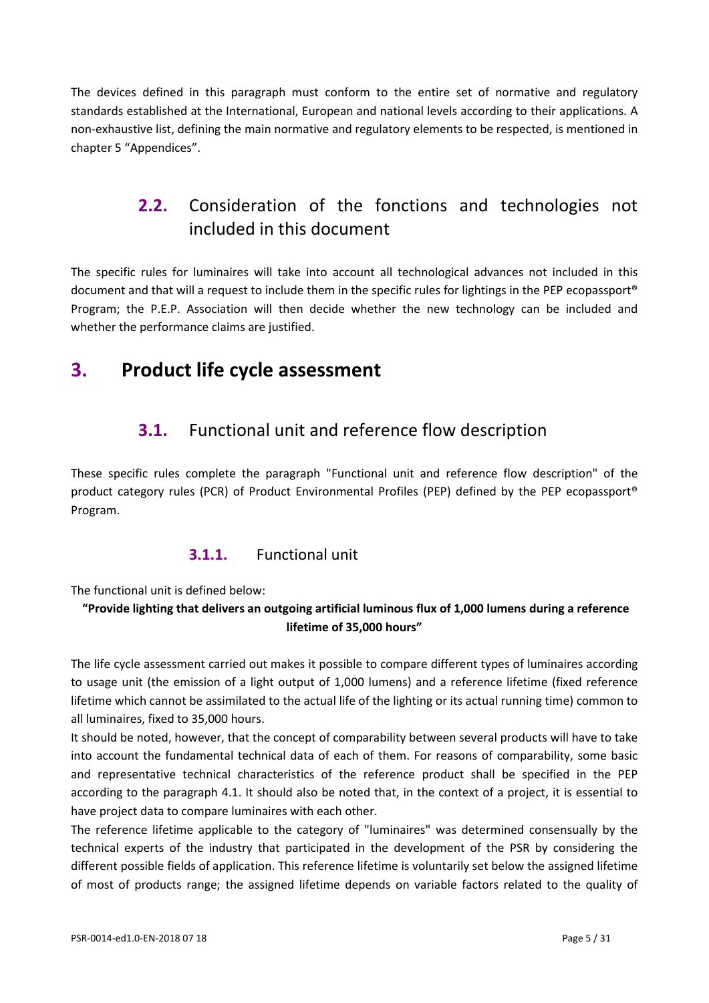<span id="page-4-0"></span>The devices defined in this paragraph must conform to the entire set of normative and regulatory standards established at the International, European and national levels according to their applications. A non-exhaustive list, defining the main normative and regulatory elements to be respected, is mentioned in chapte[r 5](#page-25-0) "Appendices".

## **2.2.** Consideration of the fonctions and technologies not included in this document

The specific rules for luminaires will take into account all technological advances not included in this document and that will a request to include them in the specific rules for lightings in the PEP ecopassport® Program; the P.E.P. Association will then decide whether the new technology can be included and whether the performance claims are justified.

# <span id="page-4-2"></span><span id="page-4-1"></span>**3. Product life cycle assessment**

## **3.1.** Functional unit and reference flow description

These specific rules complete the paragraph "Functional unit and reference flow description" of the product category rules (PCR) of Product Environmental Profiles (PEP) defined by the PEP ecopassport® Program.

### **3.1.1.** Functional unit

The functional unit is defined below:

### **"Provide lighting that delivers an outgoing artificial luminous flux of 1,000 lumens during a reference lifetime of 35,000 hours"**

The life cycle assessment carried out makes it possible to compare different types of luminaires according to usage unit (the emission of a light output of 1,000 lumens) and a reference lifetime (fixed reference lifetime which cannot be assimilated to the actual life of the lighting or its actual running time) common to all luminaires, fixed to 35,000 hours.

It should be noted, however, that the concept of comparability between several products will have to take into account the fundamental technical data of each of them. For reasons of comparability, some basic and representative technical characteristics of the reference product shall be specified in the PEP according to the paragraph 4.1. It should also be noted that, in the context of a project, it is essential to have project data to compare luminaires with each other.

The reference lifetime applicable to the category of "luminaires" was determined consensually by the technical experts of the industry that participated in the development of the PSR by considering the different possible fields of application. This reference lifetime is voluntarily set below the assigned lifetime of most of products range; the assigned lifetime depends on variable factors related to the quality of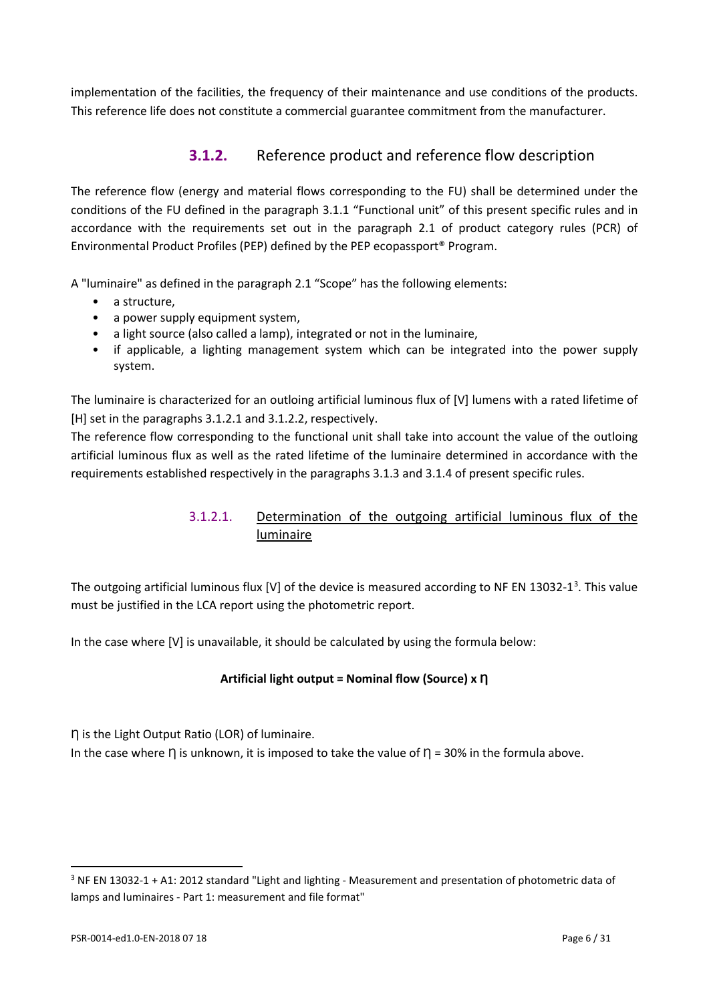implementation of the facilities, the frequency of their maintenance and use conditions of the products. This reference life does not constitute a commercial guarantee commitment from the manufacturer.

### **3.1.2.** Reference product and reference flow description

The reference flow (energy and material flows corresponding to the FU) shall be determined under the conditions of the FU defined in the paragraph 3.1.1 "Functional unit" of this present specific rules and in accordance with the requirements set out in the paragraph 2.1 of product category rules (PCR) of Environmental Product Profiles (PEP) defined by the PEP ecopassport® Program.

A "luminaire" as defined in the paragraph 2.1 "Scope" has the following elements:

- a structure,
- a power supply equipment system,
- a light source (also called a lamp), integrated or not in the luminaire,
- if applicable, a lighting management system which can be integrated into the power supply system.

The luminaire is characterized for an outloing artificial luminous flux of [V] lumens with a rated lifetime of [H] set in the paragraphs 3.1.2.1 and 3.1.2.2, respectively.

The reference flow corresponding to the functional unit shall take into account the value of the outloing artificial luminous flux as well as the rated lifetime of the luminaire determined in accordance with the requirements established respectively in the paragraphs 3.1.3 and 3.1.4 of present specific rules.

### 3.1.2.1. Determination of the outgoing artificial luminous flux of the luminaire

The outgoing artificial luminous flux [V] of the device is measured according to NF EN 1[3](#page-5-0)032-1<sup>3</sup>. This value must be justified in the LCA report using the photometric report.

In the case where [V] is unavailable, it should be calculated by using the formula below:

### **Artificial light output = Nominal flow (Source) x Ƞ**

Ƞ is the Light Output Ratio (LOR) of luminaire.

In the case where  $\eta$  is unknown, it is imposed to take the value of  $\eta$  = 30% in the formula above.

l

<span id="page-5-0"></span><sup>&</sup>lt;sup>3</sup> NF EN 13032-1 + A1: 2012 standard "Light and lighting - Measurement and presentation of photometric data of lamps and luminaires - Part 1: measurement and file format"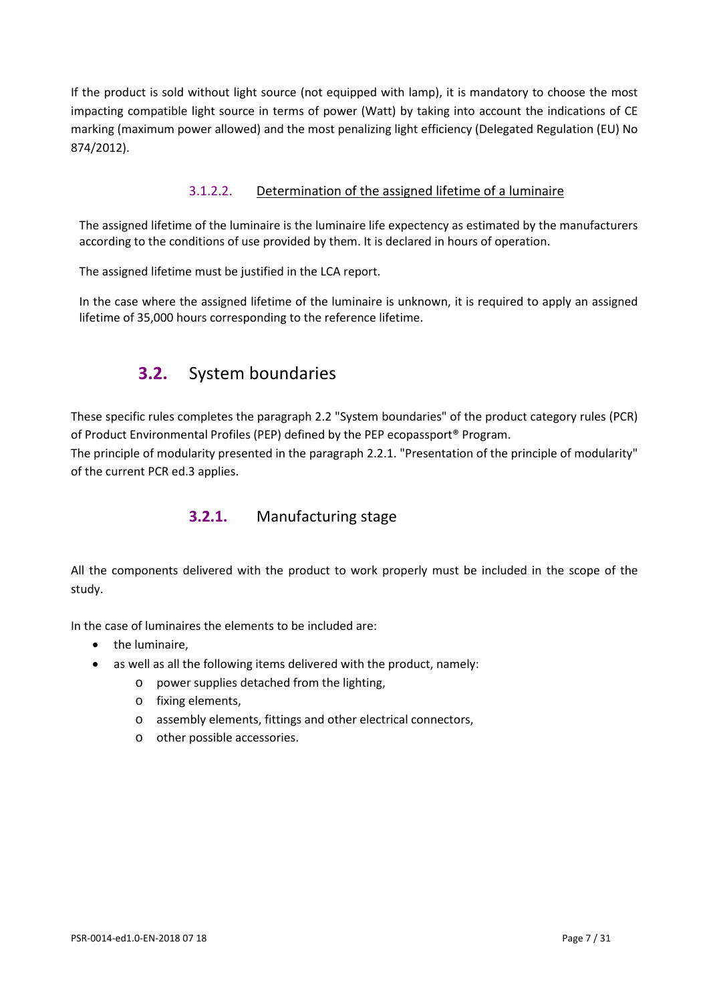If the product is sold without light source (not equipped with lamp), it is mandatory to choose the most impacting compatible light source in terms of power (Watt) by taking into account the indications of CE marking (maximum power allowed) and the most penalizing light efficiency (Delegated Regulation (EU) No 874/2012).

### 3.1.2.2. Determination of the assigned lifetime of a luminaire

The assigned lifetime of the luminaire is the luminaire life expectency as estimated by the manufacturers according to the conditions of use provided by them. It is declared in hours of operation.

The assigned lifetime must be justified in the LCA report.

<span id="page-6-0"></span>In the case where the assigned lifetime of the luminaire is unknown, it is required to apply an assigned lifetime of 35,000 hours corresponding to the reference lifetime.

### **3.2.** System boundaries

These specific rules completes the paragraph 2.2 "System boundaries" of the product category rules (PCR) of Product Environmental Profiles (PEP) defined by the PEP ecopassport® Program.

The principle of modularity presented in the paragraph 2.2.1. "Presentation of the principle of modularity" of the current PCR ed.3 applies.

### **3.2.1.** Manufacturing stage

All the components delivered with the product to work properly must be included in the scope of the study.

In the case of luminaires the elements to be included are:

- the luminaire,
- as well as all the following items delivered with the product, namely:
	- o power supplies detached from the lighting,
	- o fixing elements,
	- o assembly elements, fittings and other electrical connectors,
	- o other possible accessories.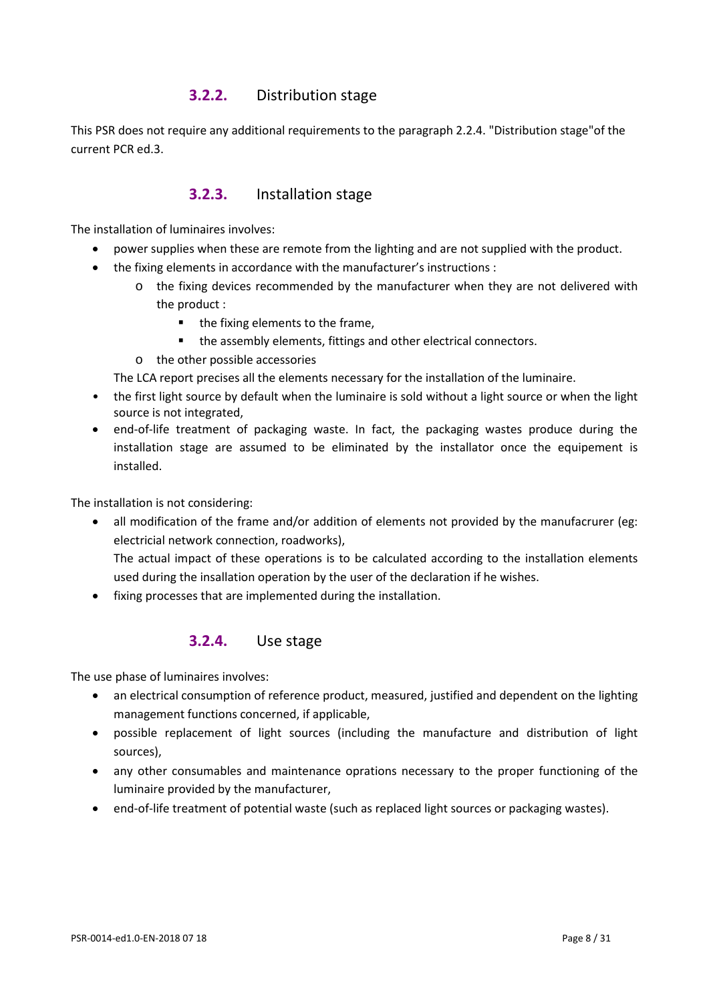### **3.2.2.** Distribution stage

This PSR does not require any additional requirements to the paragraph 2.2.4. "Distribution stage"of the current PCR ed.3.

### **3.2.3.** Installation stage

The installation of luminaires involves:

- power supplies when these are remote from the lighting and are not supplied with the product.
- the fixing elements in accordance with the manufacturer's instructions :
	- o the fixing devices recommended by the manufacturer when they are not delivered with the product :
		- $\blacksquare$  the fixing elements to the frame,
		- the assembly elements, fittings and other electrical connectors.
	- o the other possible accessories

The LCA report precises all the elements necessary for the installation of the luminaire.

- the first light source by default when the luminaire is sold without a light source or when the light source is not integrated,
- end-of-life treatment of packaging waste. In fact, the packaging wastes produce during the installation stage are assumed to be eliminated by the installator once the equipement is installed.

The installation is not considering:

- all modification of the frame and/or addition of elements not provided by the manufacrurer (eg: electricial network connection, roadworks), The actual impact of these operations is to be calculated according to the installation elements used during the insallation operation by the user of the declaration if he wishes.
- fixing processes that are implemented during the installation.

### **3.2.4.** Use stage

The use phase of luminaires involves:

- an electrical consumption of reference product, measured, justified and dependent on the lighting management functions concerned, if applicable,
- possible replacement of light sources (including the manufacture and distribution of light sources),
- any other consumables and maintenance oprations necessary to the proper functioning of the luminaire provided by the manufacturer,
- end-of-life treatment of potential waste (such as replaced light sources or packaging wastes).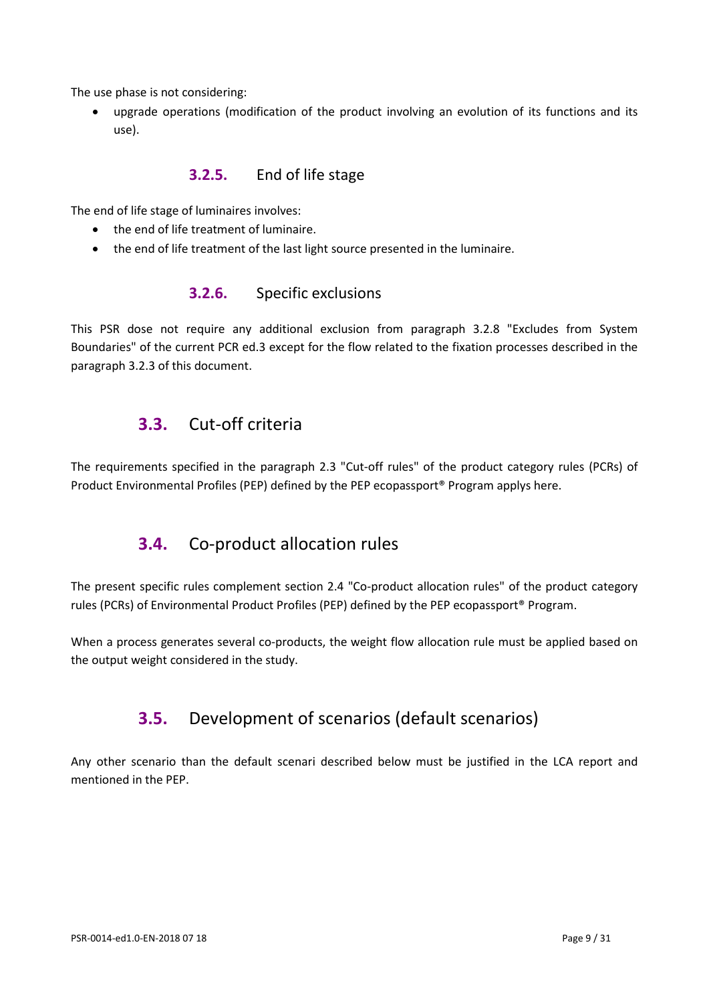The use phase is not considering:

• upgrade operations (modification of the product involving an evolution of its functions and its use).

### **3.2.5.** End of life stage

The end of life stage of luminaires involves:

- the end of life treatment of luminaire.
- the end of life treatment of the last light source presented in the luminaire.

### **3.2.6.** Specific exclusions

<span id="page-8-0"></span>This PSR dose not require any additional exclusion from paragraph 3.2.8 "Excludes from System Boundaries" of the current PCR ed.3 except for the flow related to the fixation processes described in the paragraph 3.2.3 of this document.

### **3.3.** Cut-off criteria

<span id="page-8-1"></span>The requirements specified in the paragraph 2.3 "Cut-off rules" of the product category rules (PCRs) of Product Environmental Profiles (PEP) defined by the PEP ecopassport® Program applys here.

## **3.4.** Co-product allocation rules

The present specific rules complement section 2.4 "Co-product allocation rules" of the product category rules (PCRs) of Environmental Product Profiles (PEP) defined by the PEP ecopassport® Program.

<span id="page-8-2"></span>When a process generates several co-products, the weight flow allocation rule must be applied based on the output weight considered in the study.

### **3.5.** Development of scenarios (default scenarios)

Any other scenario than the default scenari described below must be justified in the LCA report and mentioned in the PEP.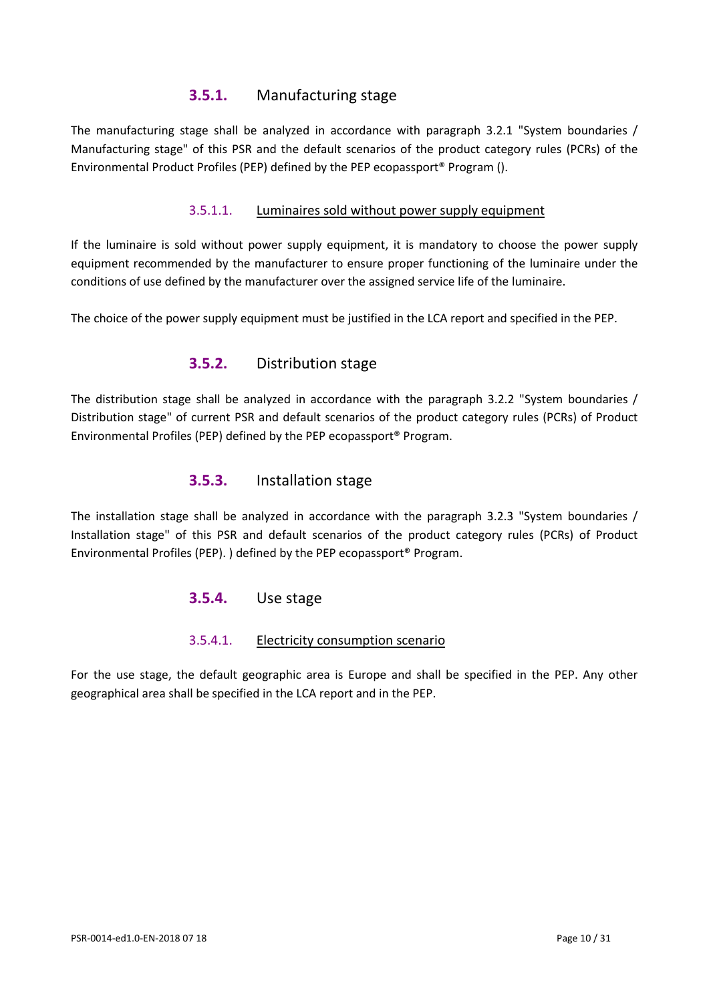### **3.5.1.** Manufacturing stage

The manufacturing stage shall be analyzed in accordance with paragraph 3.2.1 "System boundaries / Manufacturing stage" of this PSR and the default scenarios of the product category rules (PCRs) of the Environmental Product Profiles (PEP) defined by the PEP ecopassport® Program ().

### 3.5.1.1. Luminaires sold without power supply equipment

If the luminaire is sold without power supply equipment, it is mandatory to choose the power supply equipment recommended by the manufacturer to ensure proper functioning of the luminaire under the conditions of use defined by the manufacturer over the assigned service life of the luminaire.

The choice of the power supply equipment must be justified in the LCA report and specified in the PEP.

### **3.5.2.** Distribution stage

The distribution stage shall be analyzed in accordance with the paragraph 3.2.2 "System boundaries / Distribution stage" of current PSR and default scenarios of the product category rules (PCRs) of Product Environmental Profiles (PEP) defined by the PEP ecopassport® Program.

### **3.5.3.** Installation stage

The installation stage shall be analyzed in accordance with the paragraph 3.2.3 "System boundaries / Installation stage" of this PSR and default scenarios of the product category rules (PCRs) of Product Environmental Profiles (PEP). ) defined by the PEP ecopassport® Program.

### **3.5.4.** Use stage

### 3.5.4.1. Electricity consumption scenario

For the use stage, the default geographic area is Europe and shall be specified in the PEP. Any other geographical area shall be specified in the LCA report and in the PEP.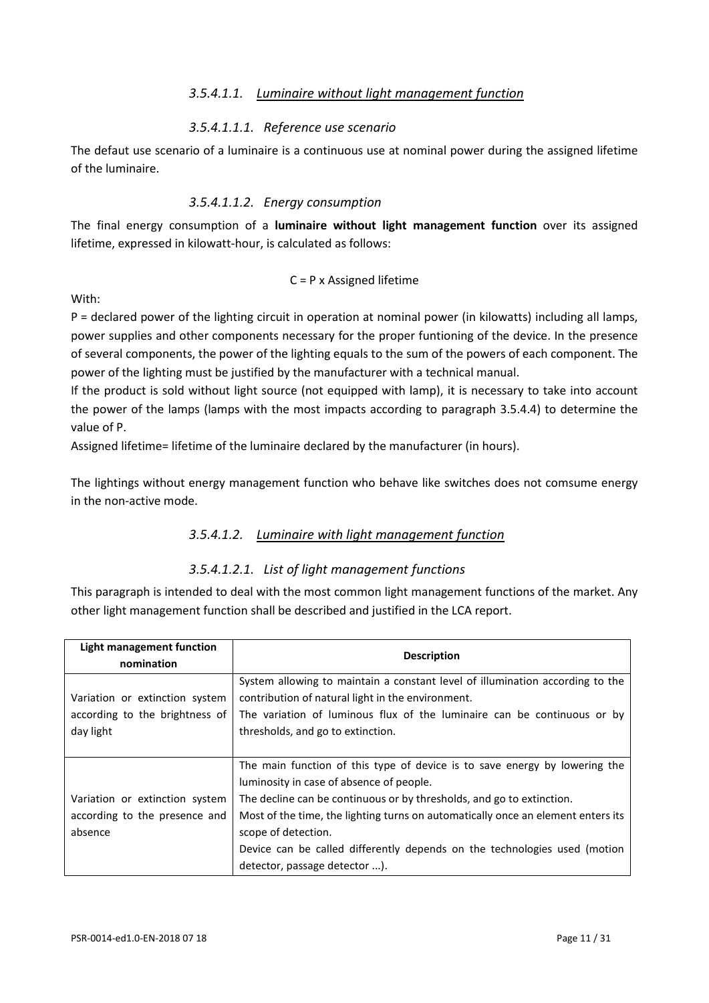#### *3.5.4.1.1. Luminaire without light management function*

#### *3.5.4.1.1.1. Reference use scenario*

The defaut use scenario of a luminaire is a continuous use at nominal power during the assigned lifetime of the luminaire.

#### *3.5.4.1.1.2. Energy consumption*

The final energy consumption of a **luminaire without light management function** over its assigned lifetime, expressed in kilowatt-hour, is calculated as follows:

#### C = P x Assigned lifetime

With:

P = declared power of the lighting circuit in operation at nominal power (in kilowatts) including all lamps, power supplies and other components necessary for the proper funtioning of the device. In the presence of several components, the power of the lighting equals to the sum of the powers of each component. The power of the lighting must be justified by the manufacturer with a technical manual.

If the product is sold without light source (not equipped with lamp), it is necessary to take into account the power of the lamps (lamps with the most impacts according to paragraph [3.5.4.4\)](#page-14-0) to determine the value of P.

Assigned lifetime= lifetime of the luminaire declared by the manufacturer (in hours).

The lightings without energy management function who behave like switches does not comsume energy in the non-active mode.

### *3.5.4.1.2. Luminaire with light management function*

#### *3.5.4.1.2.1. List of light management functions*

This paragraph is intended to deal with the most common light management functions of the market. Any other light management function shall be described and justified in the LCA report.

| Light management function<br>nomination                                       | <b>Description</b>                                                                                                                                                                                                                                                                                                                                                                                                       |  |
|-------------------------------------------------------------------------------|--------------------------------------------------------------------------------------------------------------------------------------------------------------------------------------------------------------------------------------------------------------------------------------------------------------------------------------------------------------------------------------------------------------------------|--|
| Variation or extinction system<br>according to the brightness of<br>day light | System allowing to maintain a constant level of illumination according to the<br>contribution of natural light in the environment.<br>The variation of luminous flux of the luminaire can be continuous or by<br>thresholds, and go to extinction.                                                                                                                                                                       |  |
| Variation or extinction system<br>according to the presence and<br>absence    | The main function of this type of device is to save energy by lowering the<br>luminosity in case of absence of people.<br>The decline can be continuous or by thresholds, and go to extinction.<br>Most of the time, the lighting turns on automatically once an element enters its<br>scope of detection.<br>Device can be called differently depends on the technologies used (motion<br>detector, passage detector ). |  |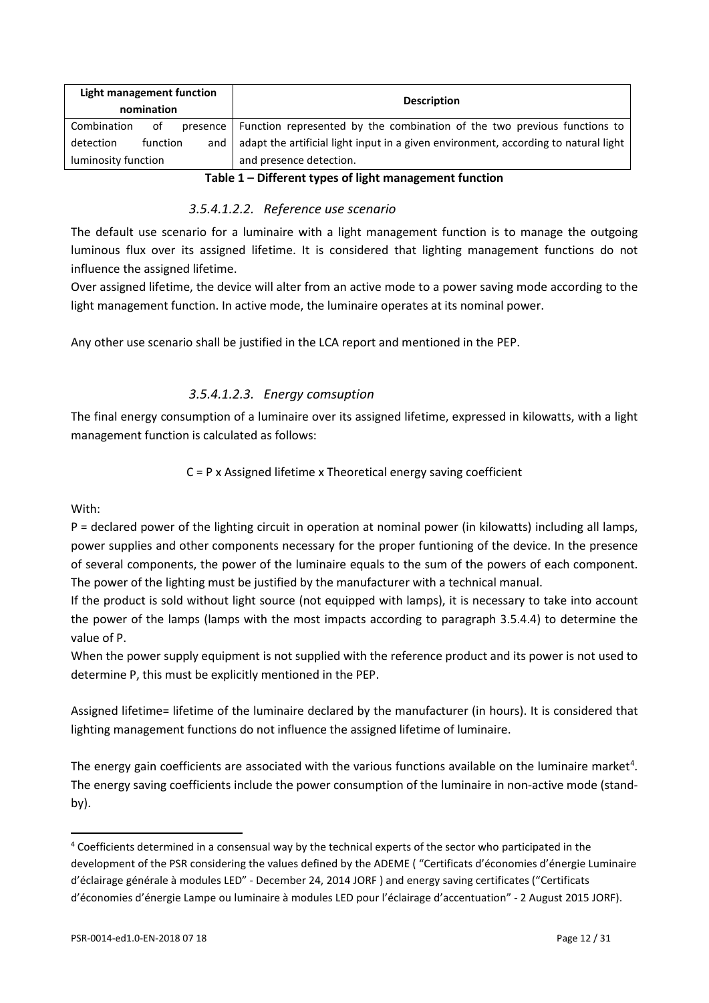| Light management function<br>nomination | <b>Description</b>                                                                                                                                                                                                             |  |
|-----------------------------------------|--------------------------------------------------------------------------------------------------------------------------------------------------------------------------------------------------------------------------------|--|
| Combination<br>οf<br>presence           | Function represented by the combination of the two previous functions to                                                                                                                                                       |  |
| detection<br>function<br>and            | adapt the artificial light input in a given environment, according to natural light                                                                                                                                            |  |
| luminosity function                     | and presence detection.                                                                                                                                                                                                        |  |
|                                         | the contribution of the contribution of the first contribution of the contribution of the contribution of the contribution of the contribution of the contribution of the contribution of the contribution of the contribution |  |

**Table 1 – Different types of light management function**

### *3.5.4.1.2.2. Reference use scenario*

The default use scenario for a luminaire with a light management function is to manage the outgoing luminous flux over its assigned lifetime. It is considered that lighting management functions do not influence the assigned lifetime.

Over assigned lifetime, the device will alter from an active mode to a power saving mode according to the light management function. In active mode, the luminaire operates at its nominal power.

Any other use scenario shall be justified in the LCA report and mentioned in the PEP.

### *3.5.4.1.2.3. Energy comsuption*

The final energy consumption of a luminaire over its assigned lifetime, expressed in kilowatts, with a light management function is calculated as follows:

### C = P x Assigned lifetime x Theoretical energy saving coefficient

With:

l

P = declared power of the lighting circuit in operation at nominal power (in kilowatts) including all lamps, power supplies and other components necessary for the proper funtioning of the device. In the presence of several components, the power of the luminaire equals to the sum of the powers of each component. The power of the lighting must be justified by the manufacturer with a technical manual.

If the product is sold without light source (not equipped with lamps), it is necessary to take into account the power of the lamps (lamps with the most impacts according to paragraph [3.5.4.4\)](#page-14-0) to determine the value of P.

When the power supply equipment is not supplied with the reference product and its power is not used to determine P, this must be explicitly mentioned in the PEP.

Assigned lifetime= lifetime of the luminaire declared by the manufacturer (in hours). It is considered that lighting management functions do not influence the assigned lifetime of luminaire.

The energy gain coefficients are associated with the various functions available on the luminaire market<sup>4</sup>. The energy saving coefficients include the power consumption of the luminaire in non-active mode (standby).

<span id="page-11-0"></span><sup>&</sup>lt;sup>4</sup> Coefficients determined in a consensual way by the technical experts of the sector who participated in the development of the PSR considering the values defined by the ADEME ( "Certificats d'économies d'énergie Luminaire d'éclairage générale à modules LED" - December 24, 2014 JORF ) and energy saving certificates ("Certificats d'économies d'énergie Lampe ou luminaire à modules LED pour l'éclairage d'accentuation" - 2 August 2015 JORF).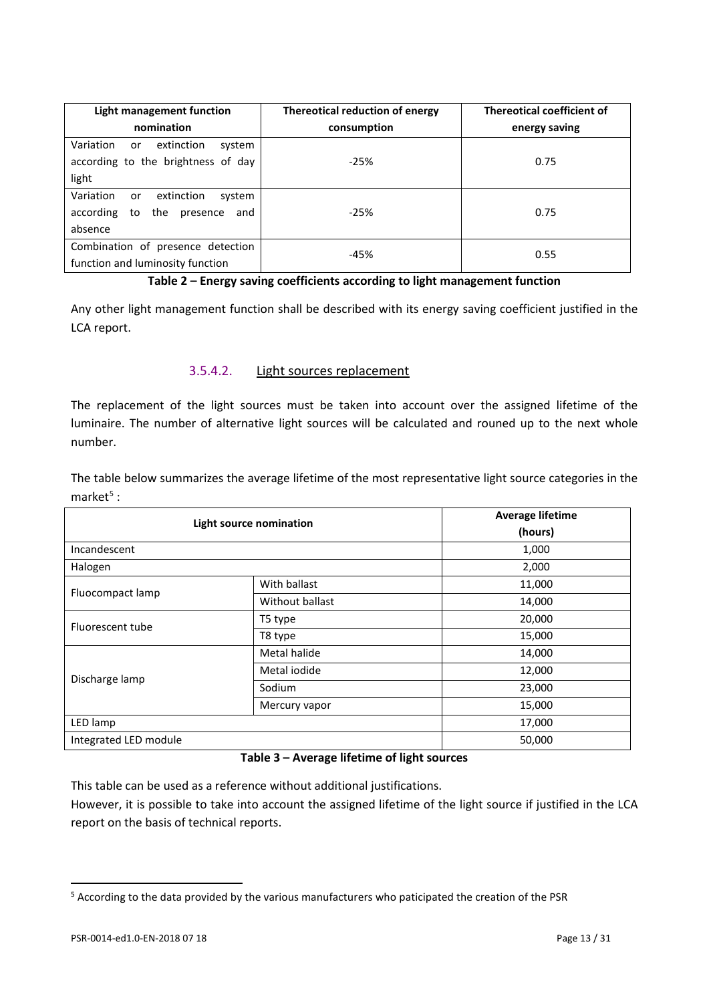| Light management function               | Thereotical reduction of energy | <b>Thereotical coefficient of</b> |
|-----------------------------------------|---------------------------------|-----------------------------------|
| nomination                              | consumption                     | energy saving                     |
| Variation<br>extinction<br>system<br>or |                                 |                                   |
| according to the brightness of day      | $-25%$                          | 0.75                              |
| light                                   |                                 |                                   |
| Variation<br>extinction<br>system<br>or |                                 |                                   |
| the presence<br>according to<br>and     | $-25%$                          | 0.75                              |
| absence                                 |                                 |                                   |
| Combination of presence detection       | $-45%$                          | 0.55                              |
| function and luminosity function        |                                 |                                   |

#### **Table 2 – Energy saving coefficients according to light management function**

<span id="page-12-2"></span>Any other light management function shall be described with its energy saving coefficient justified in the LCA report.

#### 3.5.4.2. Light sources replacement

The replacement of the light sources must be taken into account over the assigned lifetime of the luminaire. The number of alternative light sources will be calculated and rouned up to the next whole number.

The table below summarizes the average lifetime of the most representative light source categories in the market $5$  :

| <b>Light source nomination</b> |                 | <b>Average lifetime</b> |
|--------------------------------|-----------------|-------------------------|
|                                |                 | (hours)                 |
| Incandescent                   |                 | 1,000                   |
| Halogen                        |                 | 2,000                   |
| Fluocompact lamp               | With ballast    | 11,000                  |
|                                | Without ballast | 14,000                  |
| Fluorescent tube               | T5 type         | 20,000                  |
|                                | T8 type         | 15,000                  |
|                                | Metal halide    | 14,000                  |
| Discharge lamp                 | Metal iodide    | 12,000                  |
|                                | Sodium          | 23,000                  |
|                                | Mercury vapor   | 15,000                  |
| LED lamp                       |                 | 17,000                  |
| Integrated LED module          |                 | 50,000                  |

#### **Table 3 – Average lifetime of light sources**

<span id="page-12-1"></span>This table can be used as a reference without additional justifications.

However, it is possible to take into account the assigned lifetime of the light source if justified in the LCA report on the basis of technical reports.

 $\overline{a}$ 

<span id="page-12-0"></span><sup>&</sup>lt;sup>5</sup> According to the data provided by the various manufacturers who paticipated the creation of the PSR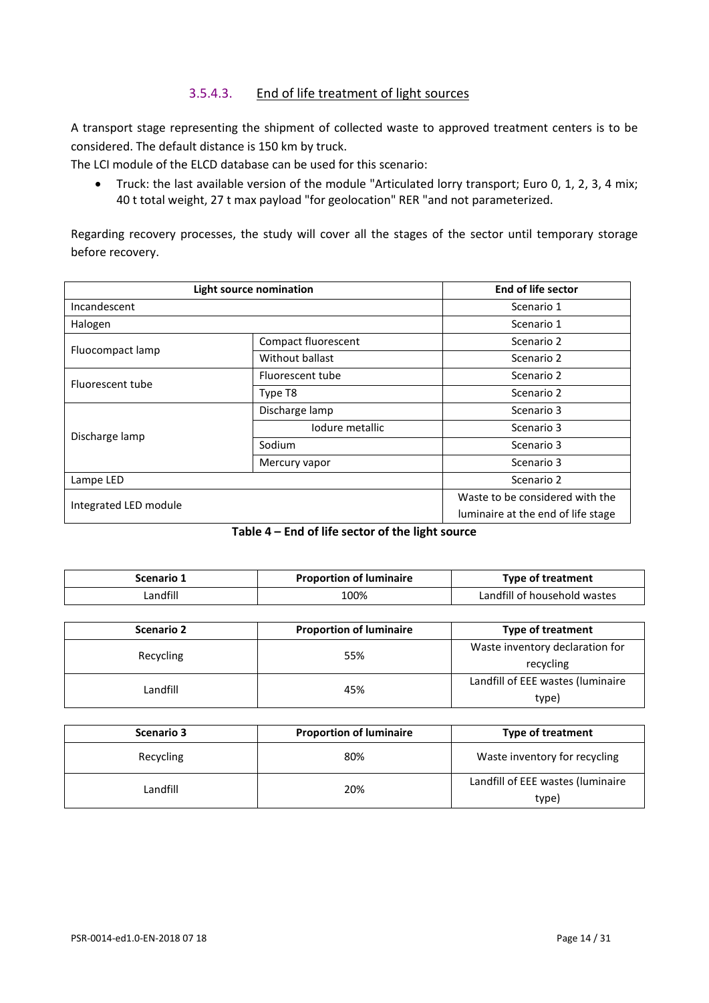### 3.5.4.3. End of life treatment of light sources

<span id="page-13-0"></span>A transport stage representing the shipment of collected waste to approved treatment centers is to be considered. The default distance is 150 km by truck.

The LCI module of the ELCD database can be used for this scenario:

• Truck: the last available version of the module "Articulated lorry transport; Euro 0, 1, 2, 3, 4 mix; 40 t total weight, 27 t max payload "for geolocation" RER "and not parameterized.

Regarding recovery processes, the study will cover all the stages of the sector until temporary storage before recovery.

| <b>Light source nomination</b> |                                 | End of life sector                 |
|--------------------------------|---------------------------------|------------------------------------|
| Incandescent                   |                                 | Scenario 1                         |
| Halogen                        |                                 | Scenario 1                         |
| Fluocompact lamp               | Compact fluorescent             | Scenario 2                         |
|                                | Without ballast                 | Scenario 2                         |
| Fluorescent tube               | Fluorescent tube                | Scenario 2                         |
|                                | Type T8                         | Scenario 2                         |
|                                | Discharge lamp                  | Scenario 3                         |
| Discharge lamp                 | lodure metallic                 | Scenario 3                         |
|                                | Sodium                          | Scenario 3                         |
|                                | Mercury vapor                   | Scenario 3                         |
| Lampe LED                      | Scenario 2                      |                                    |
| Integrated LED module          | Waste to be considered with the |                                    |
|                                |                                 | luminaire at the end of life stage |

|  |  | Table 4 – End of life sector of the light source |  |
|--|--|--------------------------------------------------|--|
|--|--|--------------------------------------------------|--|

| Scenario 1 | <b>Proportion of luminaire</b> | Type of treatment            |
|------------|--------------------------------|------------------------------|
| Landfill   | 100%                           | Landfill of household wastes |

| <b>Scenario 2</b> | <b>Proportion of luminaire</b> | <b>Type of treatment</b>          |
|-------------------|--------------------------------|-----------------------------------|
| Recycling         | 55%                            | Waste inventory declaration for   |
|                   |                                | recycling                         |
| Landfill          | 45%                            | Landfill of EEE wastes (luminaire |
|                   |                                | type)                             |

| Scenario 3 | <b>Proportion of luminaire</b> | <b>Type of treatment</b>                   |
|------------|--------------------------------|--------------------------------------------|
| Recycling  | 80%                            | Waste inventory for recycling              |
| Landfill   | 20%                            | Landfill of EEE wastes (luminaire<br>type) |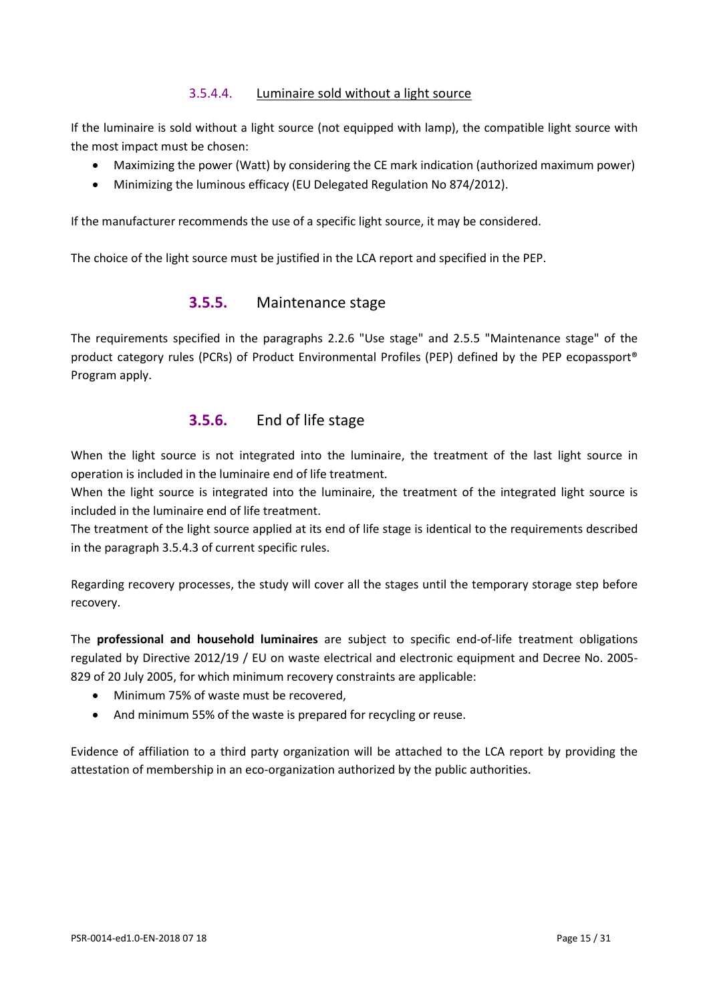### 3.5.4.4. Luminaire sold without a light source

<span id="page-14-0"></span>If the luminaire is sold without a light source (not equipped with lamp), the compatible light source with the most impact must be chosen:

- Maximizing the power (Watt) by considering the CE mark indication (authorized maximum power)
- Minimizing the luminous efficacy (EU Delegated Regulation No 874/2012).

If the manufacturer recommends the use of a specific light source, it may be considered.

The choice of the light source must be justified in the LCA report and specified in the PEP.

### **3.5.5.** Maintenance stage

The requirements specified in the paragraphs 2.2.6 "Use stage" and 2.5.5 "Maintenance stage" of the product category rules (PCRs) of Product Environmental Profiles (PEP) defined by the PEP ecopassport® Program apply.

### **3.5.6.** End of life stage

When the light source is not integrated into the luminaire, the treatment of the last light source in operation is included in the luminaire end of life treatment.

When the light source is integrated into the luminaire, the treatment of the integrated light source is included in the luminaire end of life treatment.

The treatment of the light source applied at its end of life stage is identical to the requirements described in the paragraph [3.5.4.3](#page-13-0) of current specific rules.

Regarding recovery processes, the study will cover all the stages until the temporary storage step before recovery.

The **professional and household luminaires** are subject to specific end-of-life treatment obligations regulated by Directive 2012/19 / EU on waste electrical and electronic equipment and Decree No. 2005- 829 of 20 July 2005, for which minimum recovery constraints are applicable:

- Minimum 75% of waste must be recovered,
- And minimum 55% of the waste is prepared for recycling or reuse.

Evidence of affiliation to a third party organization will be attached to the LCA report by providing the attestation of membership in an eco-organization authorized by the public authorities.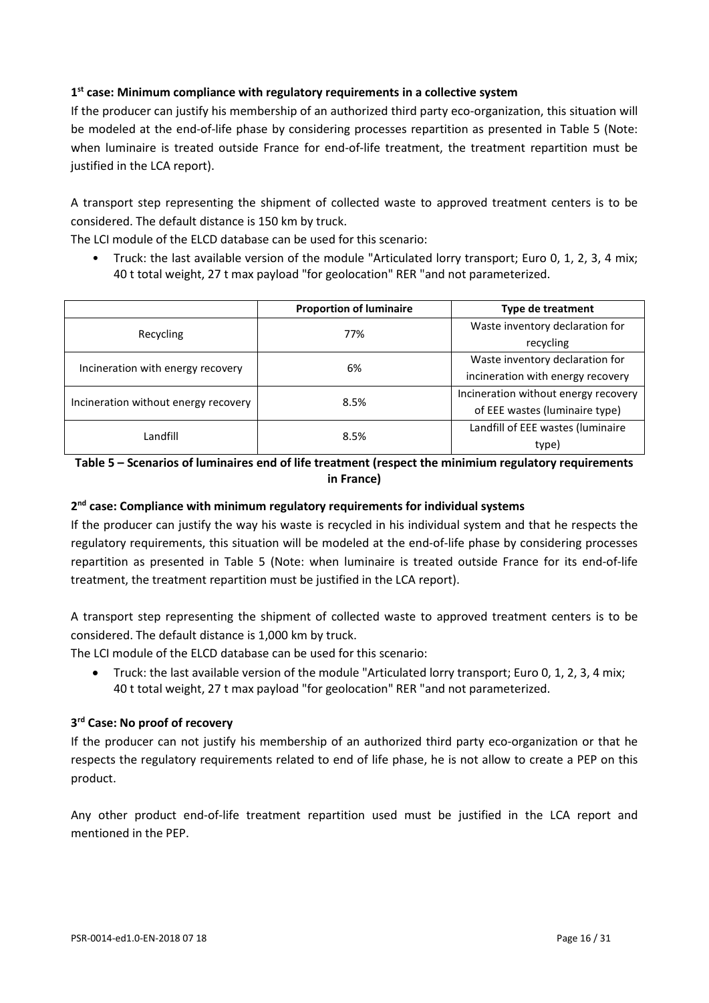### **1st case: Minimum compliance with regulatory requirements in a collective system**

If the producer can justify his membership of an authorized third party eco-organization, this situation will be modeled at the end-of-life phase by considering processes repartition as presented in [Table 5](#page-15-0) (Note: when luminaire is treated outside France for end-of-life treatment, the treatment repartition must be justified in the LCA report).

A transport step representing the shipment of collected waste to approved treatment centers is to be considered. The default distance is 150 km by truck.

The LCI module of the ELCD database can be used for this scenario:

• Truck: the last available version of the module "Articulated lorry transport; Euro 0, 1, 2, 3, 4 mix; 40 t total weight, 27 t max payload "for geolocation" RER "and not parameterized.

|                                      | <b>Proportion of luminaire</b>        | <b>Type de treatment</b>             |
|--------------------------------------|---------------------------------------|--------------------------------------|
|                                      | 77%                                   | Waste inventory declaration for      |
| Recycling                            |                                       | recycling                            |
| Incineration with energy recovery    | Waste inventory declaration for<br>6% |                                      |
|                                      |                                       | incineration with energy recovery    |
| Incineration without energy recovery | 8.5%                                  | Incineration without energy recovery |
|                                      |                                       | of EEE wastes (luminaire type)       |
| Landfill                             | 8.5%                                  | Landfill of EEE wastes (luminaire    |
|                                      |                                       | type)                                |

### <span id="page-15-0"></span>**Table 5 – Scenarios of luminaires end of life treatment (respect the minimium regulatory requirements in France)**

#### **2nd case: Compliance with minimum regulatory requirements for individual systems**

If the producer can justify the way his waste is recycled in his individual system and that he respects the regulatory requirements, this situation will be modeled at the end-of-life phase by considering processes repartition as presented in [Table 5](#page-15-0) (Note: when luminaire is treated outside France for its end-of-life treatment, the treatment repartition must be justified in the LCA report).

A transport step representing the shipment of collected waste to approved treatment centers is to be considered. The default distance is 1,000 km by truck.

The LCI module of the ELCD database can be used for this scenario:

• Truck: the last available version of the module "Articulated lorry transport; Euro 0, 1, 2, 3, 4 mix; 40 t total weight, 27 t max payload "for geolocation" RER "and not parameterized.

#### **3rd Case: No proof of recovery**

If the producer can not justify his membership of an authorized third party eco-organization or that he respects the regulatory requirements related to end of life phase, he is not allow to create a PEP on this product.

Any other product end-of-life treatment repartition used must be justified in the LCA report and mentioned in the PEP.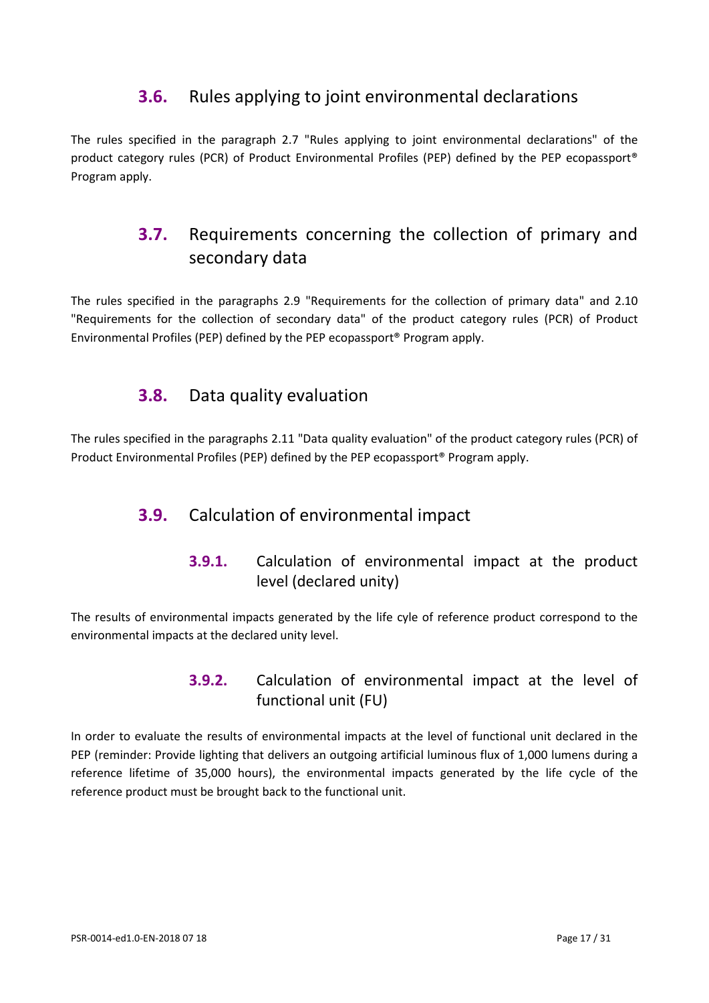### **3.6.** Rules applying to joint environmental declarations

<span id="page-16-1"></span><span id="page-16-0"></span>The rules specified in the paragraph 2.7 "Rules applying to joint environmental declarations" of the product category rules (PCR) of Product Environmental Profiles (PEP) defined by the PEP ecopassport® Program apply.

## **3.7.** Requirements concerning the collection of primary and secondary data

<span id="page-16-2"></span>The rules specified in the paragraphs 2.9 "Requirements for the collection of primary data" and 2.10 "Requirements for the collection of secondary data" of the product category rules (PCR) of Product Environmental Profiles (PEP) defined by the PEP ecopassport® Program apply.

### **3.8.** Data quality evaluation

<span id="page-16-3"></span>The rules specified in the paragraphs 2.11 "Data quality evaluation" of the product category rules (PCR) of Product Environmental Profiles (PEP) defined by the PEP ecopassport® Program apply.

### **3.9.** Calculation of environmental impact

**3.9.1.** Calculation of environmental impact at the product level (declared unity)

<span id="page-16-4"></span>The results of environmental impacts generated by the life cyle of reference product correspond to the environmental impacts at the declared unity level.

### **3.9.2.** Calculation of environmental impact at the level of functional unit (FU)

In order to evaluate the results of environmental impacts at the level of functional unit declared in the PEP (reminder: Provide lighting that delivers an outgoing artificial luminous flux of 1,000 lumens during a reference lifetime of 35,000 hours), the environmental impacts generated by the life cycle of the reference product must be brought back to the functional unit.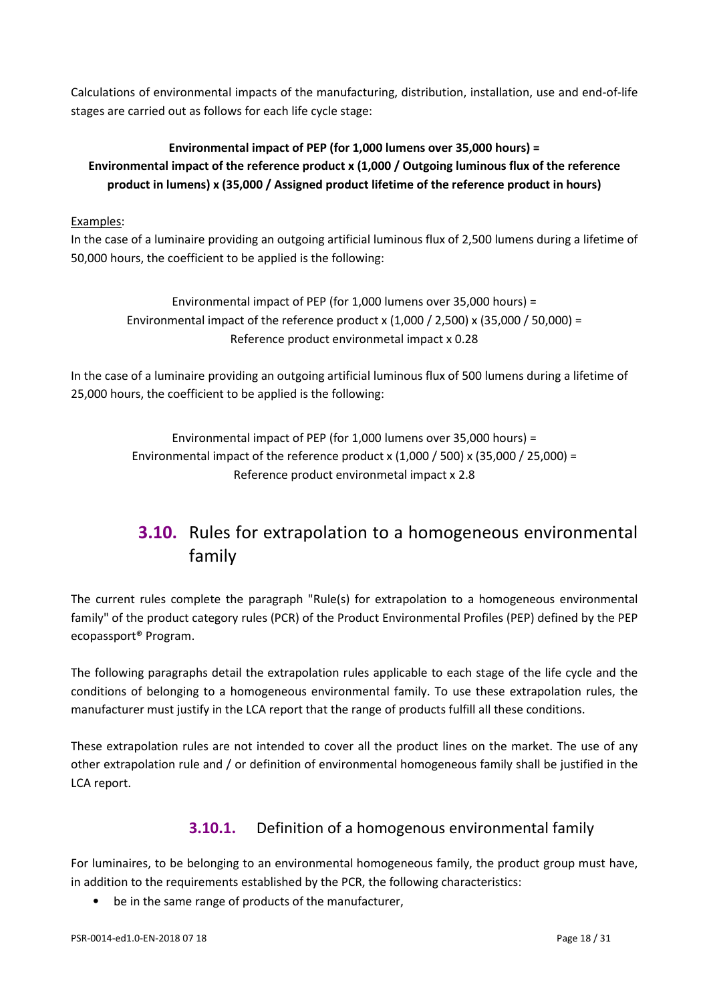Calculations of environmental impacts of the manufacturing, distribution, installation, use and end-of-life stages are carried out as follows for each life cycle stage:

### **Environmental impact of PEP (for 1,000 lumens over 35,000 hours) = Environmental impact of the reference product x (1,000 / Outgoing luminous flux of the reference product in lumens) x (35,000 / Assigned product lifetime of the reference product in hours)**

### Examples:

In the case of a luminaire providing an outgoing artificial luminous flux of 2,500 lumens during a lifetime of 50,000 hours, the coefficient to be applied is the following:

Environmental impact of PEP (for 1,000 lumens over 35,000 hours) = Environmental impact of the reference product x  $(1.000 / 2.500) \times (35.000 / 50.000) =$ Reference product environmetal impact x 0.28

In the case of a luminaire providing an outgoing artificial luminous flux of 500 lumens during a lifetime of 25,000 hours, the coefficient to be applied is the following:

> Environmental impact of PEP (for 1,000 lumens over 35,000 hours) = Environmental impact of the reference product x  $(1,000 / 500)$  x  $(35,000 / 25,000)$  = Reference product environmetal impact x 2.8

# <span id="page-17-0"></span>**3.10.** Rules for extrapolation to a homogeneous environmental family

The current rules complete the paragraph "Rule(s) for extrapolation to a homogeneous environmental family" of the product category rules (PCR) of the Product Environmental Profiles (PEP) defined by the PEP ecopassport® Program.

The following paragraphs detail the extrapolation rules applicable to each stage of the life cycle and the conditions of belonging to a homogeneous environmental family. To use these extrapolation rules, the manufacturer must justify in the LCA report that the range of products fulfill all these conditions.

<span id="page-17-1"></span>These extrapolation rules are not intended to cover all the product lines on the market. The use of any other extrapolation rule and / or definition of environmental homogeneous family shall be justified in the LCA report.

### **3.10.1.** Definition of a homogenous environmental family

For luminaires, to be belonging to an environmental homogeneous family, the product group must have, in addition to the requirements established by the PCR, the following characteristics:

be in the same range of products of the manufacturer,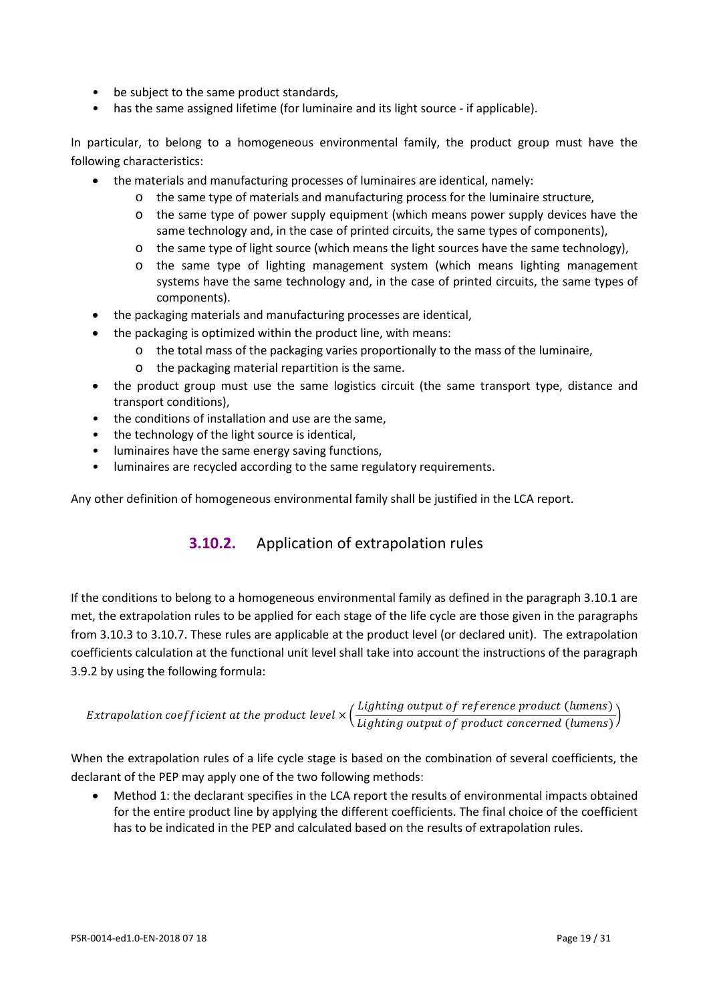- be subject to the same product standards,
- has the same assigned lifetime (for luminaire and its light source if applicable).

In particular, to belong to a homogeneous environmental family, the product group must have the following characteristics:

- the materials and manufacturing processes of luminaires are identical, namely:
	- o the same type of materials and manufacturing process for the luminaire structure,
	- $\circ$  the same type of power supply equipment (which means power supply devices have the same technology and, in the case of printed circuits, the same types of components),
	- o the same type of light source (which means the light sources have the same technology),
	- o the same type of lighting management system (which means lighting management systems have the same technology and, in the case of printed circuits, the same types of components).
- the packaging materials and manufacturing processes are identical,
	- the packaging is optimized within the product line, with means:
		- o the total mass of the packaging varies proportionally to the mass of the luminaire,
		- o the packaging material repartition is the same.
- the product group must use the same logistics circuit (the same transport type, distance and transport conditions),
- the conditions of installation and use are the same,
- the technology of the light source is identical,
- luminaires have the same energy saving functions,
- luminaires are recycled according to the same regulatory requirements.

Any other definition of homogeneous environmental family shall be justified in the LCA report.

### **3.10.2.** Application of extrapolation rules

If the conditions to belong to a homogeneous environmental family as defined in the paragraph [3.10.1](#page-17-1) are met, the extrapolation rules to be applied for each stage of the life cycle are those given in the paragraphs from [3.10.3](#page-19-0) t[o 3.10.7.](#page-21-0) These rules are applicable at the product level (or declared unit). The extrapolation coefficients calculation at the functional unit level shall take into account the instructions of the paragraph [3.9.2](#page-16-4) by using the following formula:

$$
Extrapolation coefficient at the product level \times \left(\frac{Lighting output of reference product (lumens)}{Lighting output of product concerned (lumens)}\right)
$$

When the extrapolation rules of a life cycle stage is based on the combination of several coefficients, the declarant of the PEP may apply one of the two following methods:

• Method 1: the declarant specifies in the LCA report the results of environmental impacts obtained for the entire product line by applying the different coefficients. The final choice of the coefficient has to be indicated in the PEP and calculated based on the results of extrapolation rules.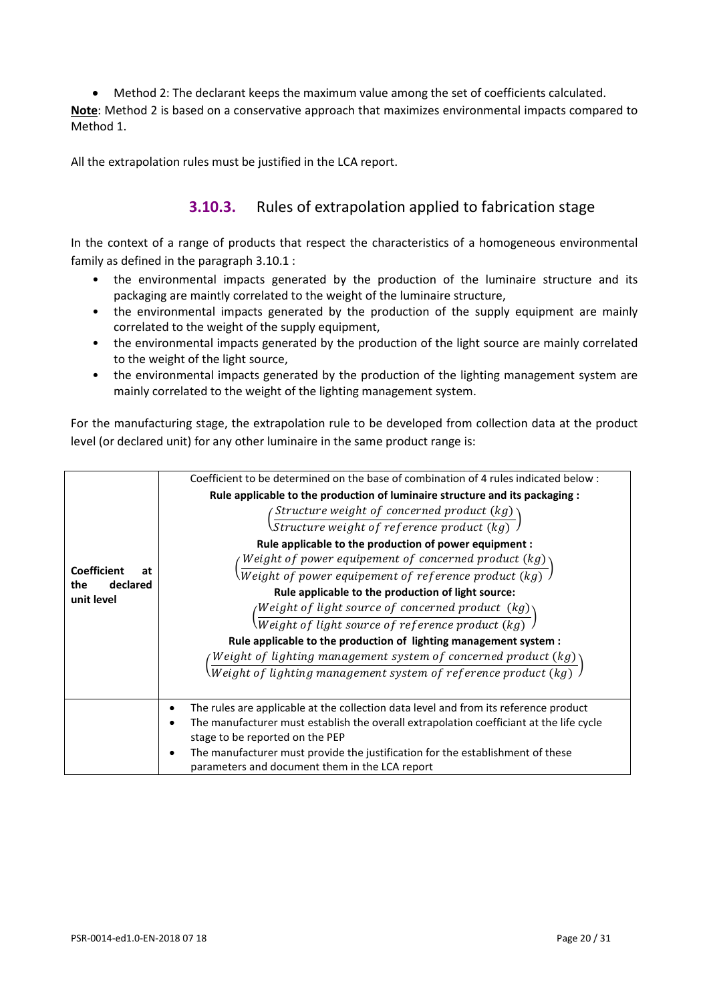• Method 2: The declarant keeps the maximum value among the set of coefficients calculated. **Note**: Method 2 is based on a conservative approach that maximizes environmental impacts compared to Method 1.

<span id="page-19-0"></span>All the extrapolation rules must be justified in the LCA report.

### **3.10.3.** Rules of extrapolation applied to fabrication stage

In the context of a range of products that respect the characteristics of a homogeneous environmental family as defined in the paragraph [3.10.1](#page-17-1) :

- the environmental impacts generated by the production of the luminaire structure and its packaging are maintly correlated to the weight of the luminaire structure,
- the environmental impacts generated by the production of the supply equipment are mainly correlated to the weight of the supply equipment,
- the environmental impacts generated by the production of the light source are mainly correlated to the weight of the light source,
- the environmental impacts generated by the production of the lighting management system are mainly correlated to the weight of the lighting management system.

For the manufacturing stage, the extrapolation rule to be developed from collection data at the product level (or declared unit) for any other luminaire in the same product range is:

|                                                           | Coefficient to be determined on the base of combination of 4 rules indicated below:                                                   |
|-----------------------------------------------------------|---------------------------------------------------------------------------------------------------------------------------------------|
|                                                           | Rule applicable to the production of luminaire structure and its packaging :                                                          |
|                                                           | $\sqrt{s}$ Structure weight of concerned product $(kg)$<br>Structure weight of reference product $(kg)$                               |
|                                                           |                                                                                                                                       |
|                                                           | Rule applicable to the production of power equipment :                                                                                |
|                                                           | Weight of power equipement of concerned product (kg)                                                                                  |
| <b>Coefficient</b><br>at<br>the<br>declared<br>unit level | Weight of power equipement of reference product $(kg)$                                                                                |
|                                                           | Rule applicable to the production of light source:                                                                                    |
|                                                           |                                                                                                                                       |
|                                                           | $\sqrt{Weight~of~light~source~of~concerned~product~(kg)}\over \textit{Weight~of~light~source~of~reference~product~(kg)}\ \textit{of}$ |
|                                                           | Rule applicable to the production of lighting management system :                                                                     |
|                                                           | Weight of lighting management system of concerned product $(kg)$                                                                      |
|                                                           | $\overline{Weight\ of\ light\ in\ management\ system\ of\ reference\ product\ (kg)}$                                                  |
|                                                           |                                                                                                                                       |
|                                                           | The rules are applicable at the collection data level and from its reference product<br>٠                                             |
|                                                           | The manufacturer must establish the overall extrapolation coefficiant at the life cycle                                               |
|                                                           | stage to be reported on the PEP                                                                                                       |
|                                                           | The manufacturer must provide the justification for the establishment of these                                                        |
|                                                           | parameters and document them in the LCA report                                                                                        |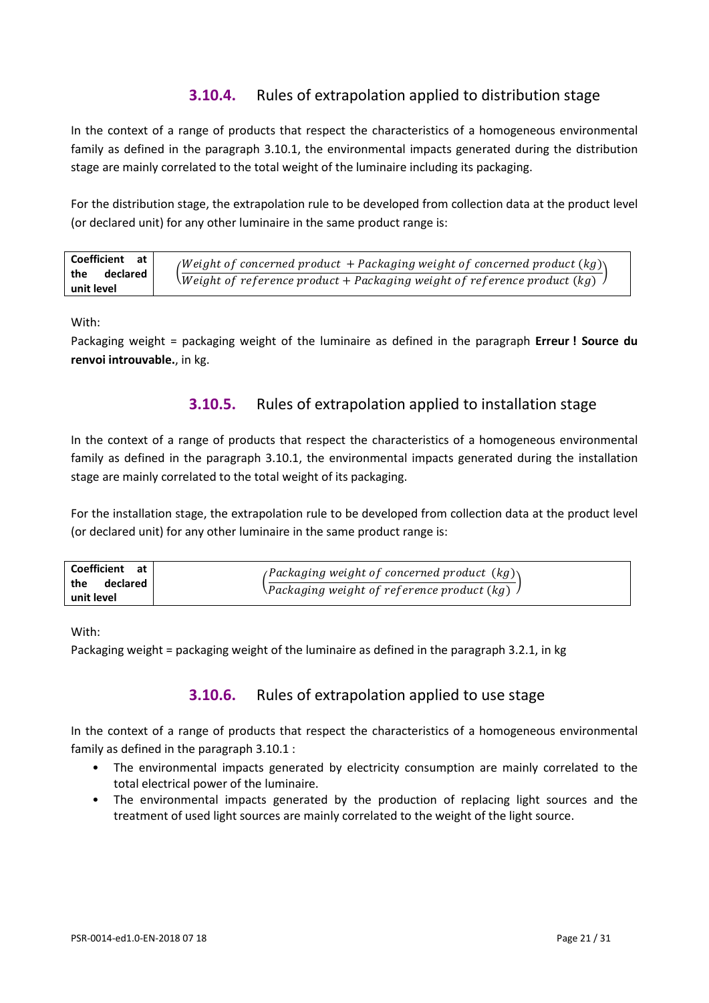### **3.10.4.** Rules of extrapolation applied to distribution stage

In the context of a range of products that respect the characteristics of a homogeneous environmental family as defined in the paragraph [3.10.1,](#page-17-1) the environmental impacts generated during the distribution stage are mainly correlated to the total weight of the luminaire including its packaging.

For the distribution stage, the extrapolation rule to be developed from collection data at the product level (or declared unit) for any other luminaire in the same product range is:

| Coefficient at                | <i>(Weight of concerned product + Packaging weight of concerned product <math>(kg)</math>)</i> |
|-------------------------------|------------------------------------------------------------------------------------------------|
| the<br>declared<br>unit level | Weight of reference product + Packaging weight of reference product $(kg)$                     |

With:

Packaging weight = packaging weight of the luminaire as defined in the paragraph **Erreur ! Source du renvoi introuvable.**, in kg.

### **3.10.5.** Rules of extrapolation applied to installation stage

In the context of a range of products that respect the characteristics of a homogeneous environmental family as defined in the paragraph [3.10.1,](#page-17-1) the environmental impacts generated during the installation stage are mainly correlated to the total weight of its packaging.

For the installation stage, the extrapolation rule to be developed from collection data at the product level (or declared unit) for any other luminaire in the same product range is:

| Coefficient at l  | <i>(Packaging weight of concerned product <math>(kg)</math>)</i> |
|-------------------|------------------------------------------------------------------|
| the<br>declared l | $\setminus$ Packaging weight of reference product $(kg)$         |
| unit level        |                                                                  |

With:

Packaging weight = packaging weight of the luminaire as defined in the paragraph 3.2.1, in kg

### **3.10.6.** Rules of extrapolation applied to use stage

In the context of a range of products that respect the characteristics of a homogeneous environmental family as defined in the paragraph [3.10.1](#page-17-1) :

- The environmental impacts generated by electricity consumption are mainly correlated to the total electrical power of the luminaire.
- The environmental impacts generated by the production of replacing light sources and the treatment of used light sources are mainly correlated to the weight of the light source.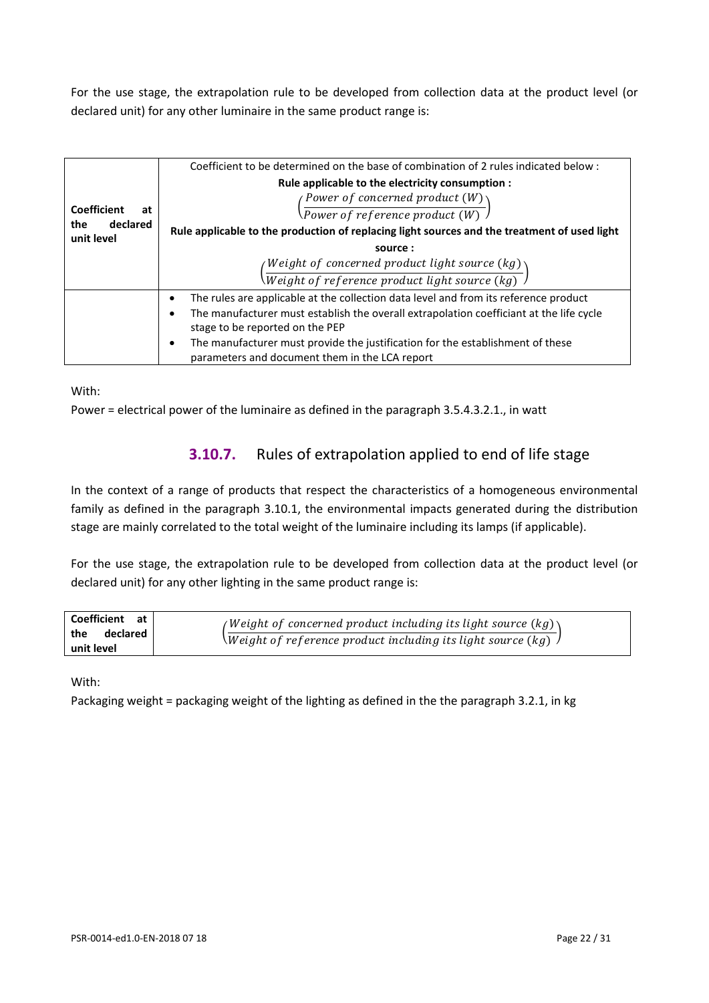For the use stage, the extrapolation rule to be developed from collection data at the product level (or declared unit) for any other luminaire in the same product range is:

| <b>Coefficient</b><br>at<br>declared<br>the<br>unit level | Coefficient to be determined on the base of combination of 2 rules indicated below:<br>Rule applicable to the electricity consumption :<br>$\sqrt{Power\;of\;concerned\;product\;(W)\choose Power\;of\;reference\;product\;(W)}$<br>Rule applicable to the production of replacing light sources and the treatment of used light<br>source:<br>Weight of concerned product light source $(kg)\gamma$<br>Weight of reference product light source (kg) |
|-----------------------------------------------------------|-------------------------------------------------------------------------------------------------------------------------------------------------------------------------------------------------------------------------------------------------------------------------------------------------------------------------------------------------------------------------------------------------------------------------------------------------------|
|                                                           | The rules are applicable at the collection data level and from its reference product<br>٠<br>The manufacturer must establish the overall extrapolation coefficiant at the life cycle<br>٠<br>stage to be reported on the PEP<br>The manufacturer must provide the justification for the establishment of these<br>٠<br>parameters and document them in the LCA report                                                                                 |

With:

<span id="page-21-0"></span>Power = electrical power of the luminaire as defined in the paragraph 3.5.4.3.2.1., in watt

### **3.10.7.** Rules of extrapolation applied to end of life stage

In the context of a range of products that respect the characteristics of a homogeneous environmental family as defined in the paragraph [3.10.1,](#page-17-1) the environmental impacts generated during the distribution stage are mainly correlated to the total weight of the luminaire including its lamps (if applicable).

For the use stage, the extrapolation rule to be developed from collection data at the product level (or declared unit) for any other lighting in the same product range is:

| Coefficient at  | (Weight of concerned product including its light source (kg) $\setminus$ |
|-----------------|--------------------------------------------------------------------------|
| declared<br>the | Weight of reference product including its light source $(kg)$            |
| unit level      |                                                                          |

With:

Packaging weight = packaging weight of the lighting as defined in the the paragraph 3.2.1, in kg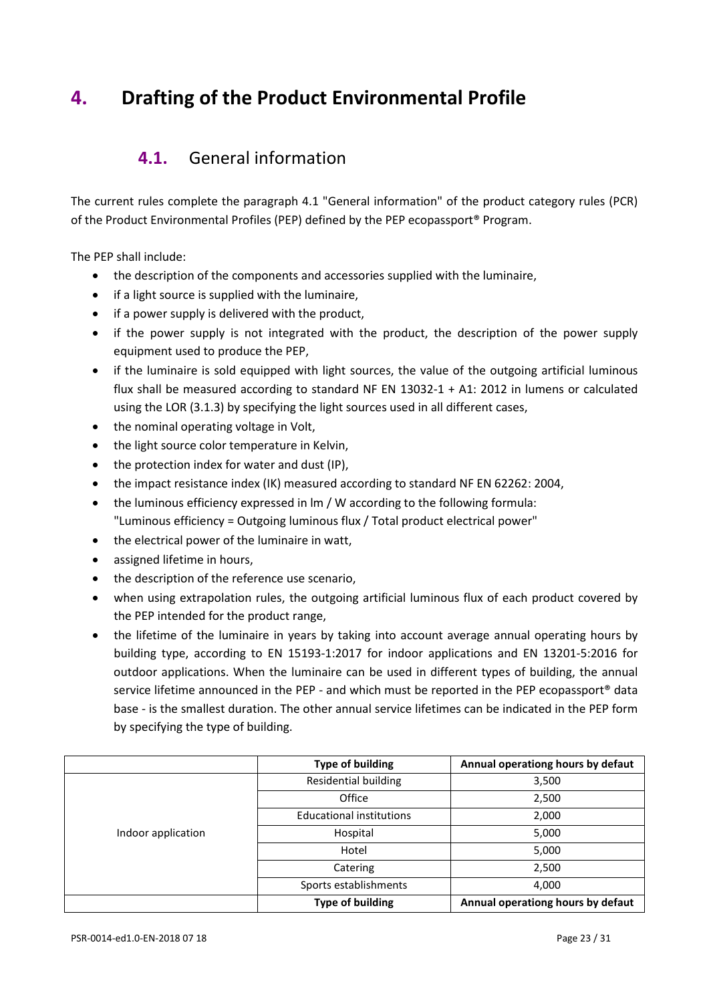# <span id="page-22-1"></span><span id="page-22-0"></span>**4. Drafting of the Product Environmental Profile**

### **4.1.** General information

The current rules complete the paragraph 4.1 "General information" of the product category rules (PCR) of the Product Environmental Profiles (PEP) defined by the PEP ecopassport® Program.

The PEP shall include:

- the description of the components and accessories supplied with the luminaire,
- if a light source is supplied with the luminaire,
- if a power supply is delivered with the product,
- if the power supply is not integrated with the product, the description of the power supply equipment used to produce the PEP,
- if the luminaire is sold equipped with light sources, the value of the outgoing artificial luminous flux shall be measured according to standard NF EN 13032-1 + A1: 2012 in lumens or calculated using the LOR (3.1.3) by specifying the light sources used in all different cases,
- the nominal operating voltage in Volt,
- the light source color temperature in Kelvin,
- the protection index for water and dust (IP),
- the impact resistance index (IK) measured according to standard NF EN 62262: 2004,
- the luminous efficiency expressed in lm / W according to the following formula: "Luminous efficiency = Outgoing luminous flux / Total product electrical power"
- the electrical power of the luminaire in watt,
- assigned lifetime in hours,
- the description of the reference use scenario,
- when using extrapolation rules, the outgoing artificial luminous flux of each product covered by the PEP intended for the product range,
- the lifetime of the luminaire in years by taking into account average annual operating hours by building type, according to EN 15193-1:2017 for indoor applications and EN 13201-5:2016 for outdoor applications. When the luminaire can be used in different types of building, the annual service lifetime announced in the PEP - and which must be reported in the PEP ecopassport® data base - is the smallest duration. The other annual service lifetimes can be indicated in the PEP form by specifying the type of building.

|                    | <b>Type of building</b>         | Annual operationg hours by defaut |
|--------------------|---------------------------------|-----------------------------------|
|                    | <b>Residential building</b>     | 3,500                             |
|                    | Office                          | 2,500                             |
|                    | <b>Educational institutions</b> | 2,000                             |
| Indoor application | Hospital                        | 5,000                             |
|                    | Hotel                           | 5,000                             |
|                    | Catering                        | 2,500                             |
|                    | Sports establishments           | 4,000                             |
|                    | <b>Type of building</b>         | Annual operationg hours by defaut |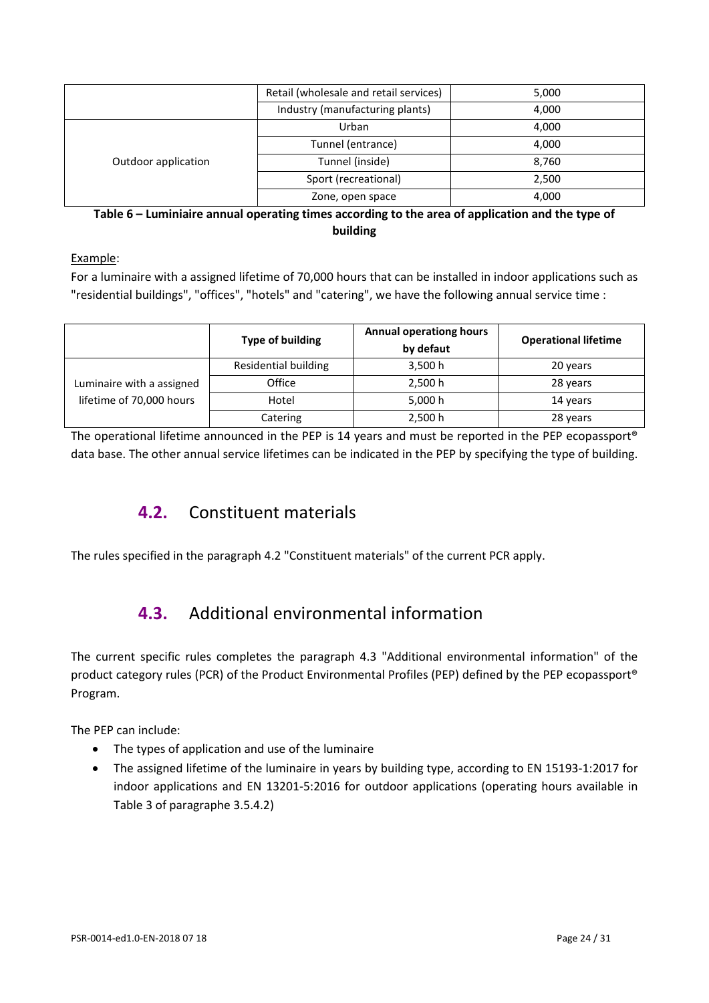|                     | Retail (wholesale and retail services) | 5,000 |
|---------------------|----------------------------------------|-------|
|                     | Industry (manufacturing plants)        | 4,000 |
|                     | Urban                                  | 4,000 |
|                     | Tunnel (entrance)                      | 4,000 |
| Outdoor application | Tunnel (inside)                        | 8,760 |
|                     | Sport (recreational)                   | 2,500 |
|                     | Zone, open space                       | 4,000 |

**Table 6 – Luminiaire annual operating times according to the area of application and the type of building**

Example:

For a luminaire with a assigned lifetime of 70,000 hours that can be installed in indoor applications such as "residential buildings", "offices", "hotels" and "catering", we have the following annual service time :

|                           | Type of building     | <b>Annual operationg hours</b><br>by defaut | <b>Operational lifetime</b> |
|---------------------------|----------------------|---------------------------------------------|-----------------------------|
|                           | Residential building | 3,500 h                                     | 20 years                    |
| Luminaire with a assigned | Office               | 2,500 h                                     | 28 years                    |
| lifetime of 70,000 hours  | Hotel                | 5,000 h                                     | 14 years                    |
|                           | Catering             | 2,500 h                                     | 28 years                    |

<span id="page-23-0"></span>The operational lifetime announced in the PEP is 14 years and must be reported in the PEP ecopassport® data base. The other annual service lifetimes can be indicated in the PEP by specifying the type of building.

## **4.2.** Constituent materials

<span id="page-23-1"></span>The rules specified in the paragraph 4.2 "Constituent materials" of the current PCR apply.

# **4.3.** Additional environmental information

The current specific rules completes the paragraph 4.3 "Additional environmental information" of the product category rules (PCR) of the Product Environmental Profiles (PEP) defined by the PEP ecopassport® Program.

The PEP can include:

- The types of application and use of the luminaire
- The assigned lifetime of the luminaire in years by building type, according to EN 15193-1:2017 for indoor applications and EN 13201-5:2016 for outdoor applications (operating hours available in [Table 3](#page-12-1) of paragraphe [3.5.4.2\)](#page-12-2)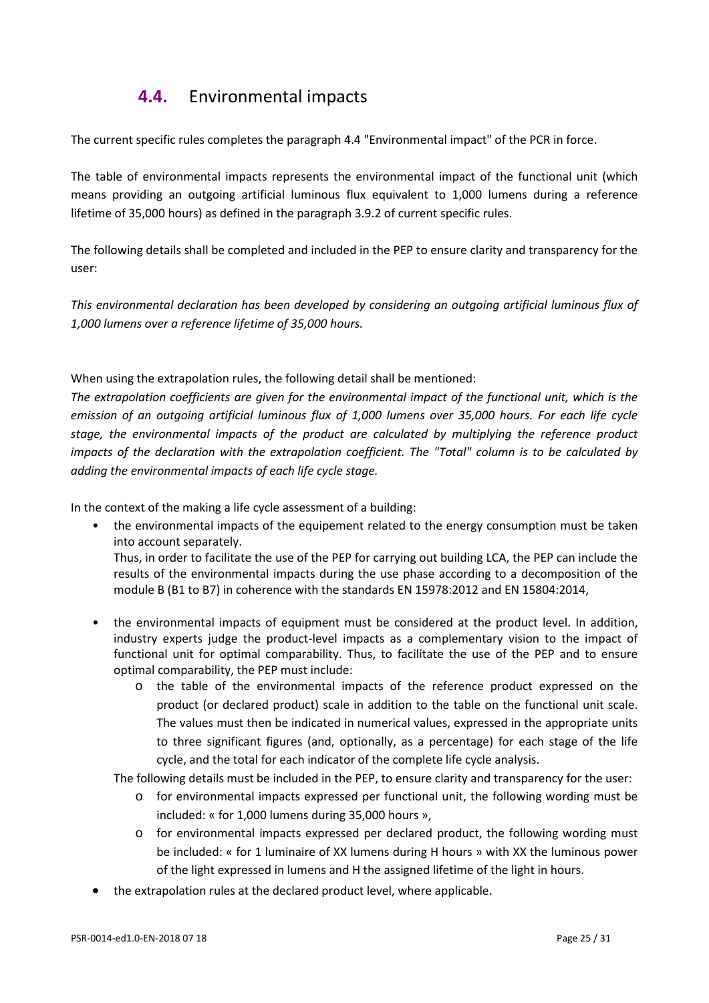## **4.4.** Environmental impacts

<span id="page-24-0"></span>The current specific rules completes the paragraph 4.4 "Environmental impact" of the PCR in force.

The table of environmental impacts represents the environmental impact of the functional unit (which means providing an outgoing artificial luminous flux equivalent to 1,000 lumens during a reference lifetime of 35,000 hours) as defined in the paragraph [3.9.2](#page-16-4) of current specific rules.

The following details shall be completed and included in the PEP to ensure clarity and transparency for the user:

*This environmental declaration has been developed by considering an outgoing artificial luminous flux of 1,000 lumens over a reference lifetime of 35,000 hours.*

When using the extrapolation rules, the following detail shall be mentioned:

*The extrapolation coefficients are given for the environmental impact of the functional unit, which is the emission of an outgoing artificial luminous flux of 1,000 lumens over 35,000 hours. For each life cycle stage, the environmental impacts of the product are calculated by multiplying the reference product impacts of the declaration with the extrapolation coefficient. The "Total" column is to be calculated by adding the environmental impacts of each life cycle stage.*

In the context of the making a life cycle assessment of a building:

the environmental impacts of the equipement related to the energy consumption must be taken into account separately.

Thus, in order to facilitate the use of the PEP for carrying out building LCA, the PEP can include the results of the environmental impacts during the use phase according to a decomposition of the module B (B1 to B7) in coherence with the standards EN 15978:2012 and EN 15804:2014,

- the environmental impacts of equipment must be considered at the product level. In addition, industry experts judge the product-level impacts as a complementary vision to the impact of functional unit for optimal comparability. Thus, to facilitate the use of the PEP and to ensure optimal comparability, the PEP must include:
	- o the table of the environmental impacts of the reference product expressed on the product (or declared product) scale in addition to the table on the functional unit scale. The values must then be indicated in numerical values, expressed in the appropriate units to three significant figures (and, optionally, as a percentage) for each stage of the life cycle, and the total for each indicator of the complete life cycle analysis.

The following details must be included in the PEP, to ensure clarity and transparency for the user:

- o for environmental impacts expressed per functional unit, the following wording must be included: « for 1,000 lumens during 35,000 hours »,
- o for environmental impacts expressed per declared product, the following wording must be included: « for 1 luminaire of XX lumens during H hours » with XX the luminous power of the light expressed in lumens and H the assigned lifetime of the light in hours.
- the extrapolation rules at the declared product level, where applicable.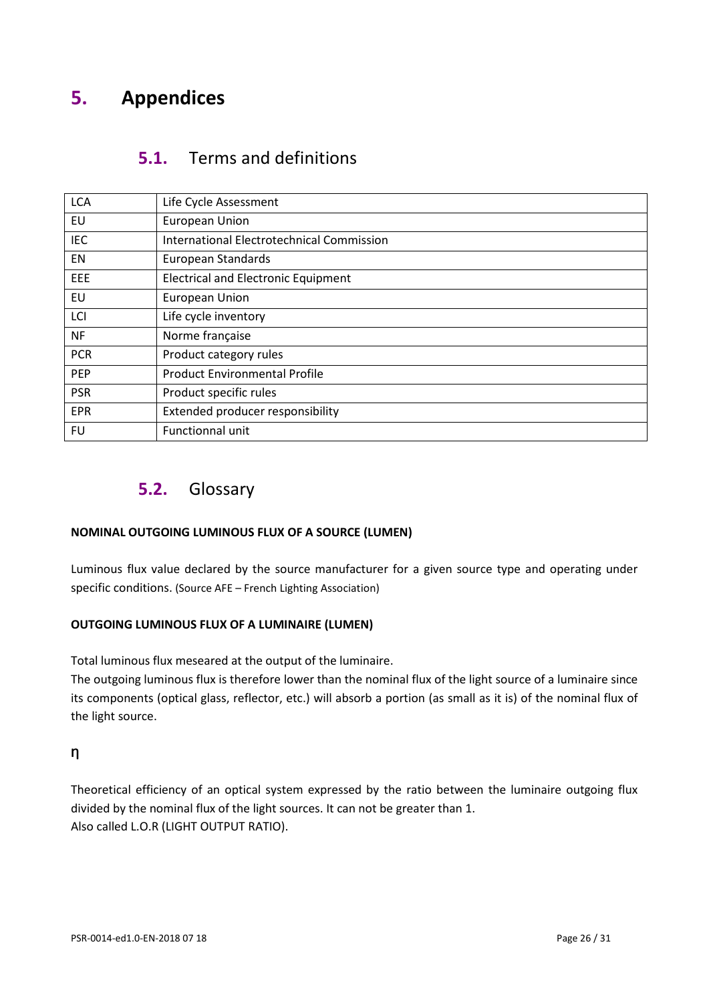# <span id="page-25-1"></span><span id="page-25-0"></span>**5. Appendices**

### **5.1.** Terms and definitions

| <b>LCA</b> | Life Cycle Assessment                            |
|------------|--------------------------------------------------|
| EU         | <b>European Union</b>                            |
| <b>IEC</b> | <b>International Electrotechnical Commission</b> |
| EN         | European Standards                               |
| EEE        | <b>Electrical and Electronic Equipment</b>       |
| EU         | European Union                                   |
| LCI        | Life cycle inventory                             |
| <b>NF</b>  | Norme française                                  |
| <b>PCR</b> | Product category rules                           |
| <b>PEP</b> | <b>Product Environmental Profile</b>             |
| <b>PSR</b> | Product specific rules                           |
| <b>EPR</b> | Extended producer responsibility                 |
| FU         | Functionnal unit                                 |

### <span id="page-25-2"></span>**5.2.** Glossary

### **NOMINAL OUTGOING LUMINOUS FLUX OF A SOURCE (LUMEN)**

Luminous flux value declared by the source manufacturer for a given source type and operating under specific conditions. (Source AFE – French Lighting Association)

### **OUTGOING LUMINOUS FLUX OF A LUMINAIRE (LUMEN)**

Total luminous flux meseared at the output of the luminaire.

The outgoing luminous flux is therefore lower than the nominal flux of the light source of a luminaire since its components (optical glass, reflector, etc.) will absorb a portion (as small as it is) of the nominal flux of the light source.

### **Ƞ**

Theoretical efficiency of an optical system expressed by the ratio between the luminaire outgoing flux divided by the nominal flux of the light sources. It can not be greater than 1. Also called L.O.R (LIGHT OUTPUT RATIO).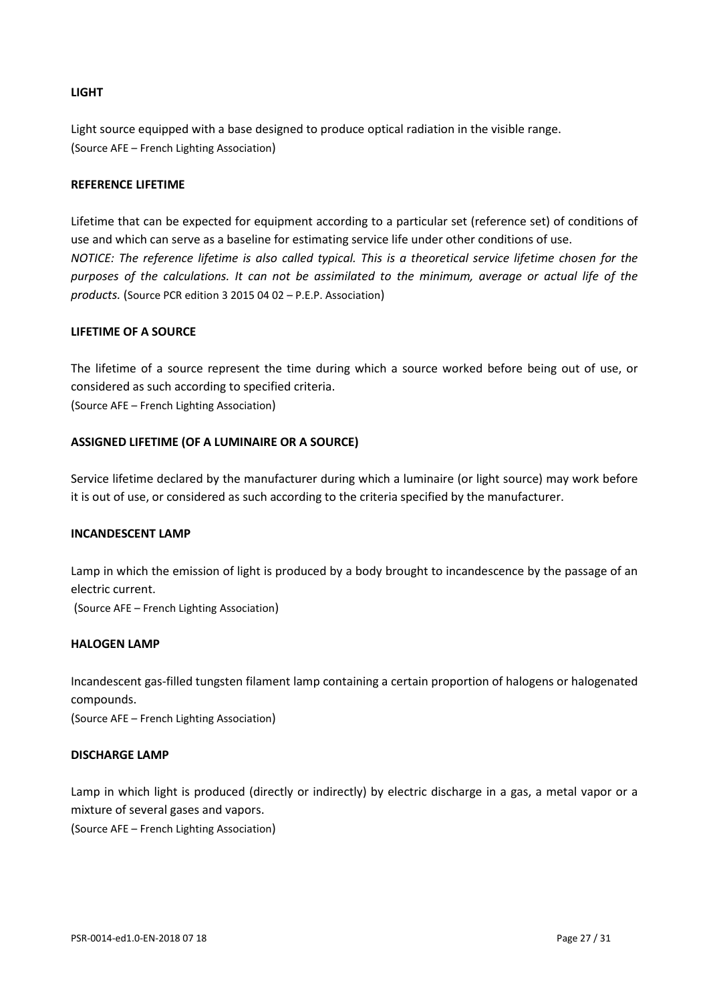#### **LIGHT**

Light source equipped with a base designed to produce optical radiation in the visible range. (Source AFE – French Lighting Association)

#### **REFERENCE LIFETIME**

Lifetime that can be expected for equipment according to a particular set (reference set) of conditions of use and which can serve as a baseline for estimating service life under other conditions of use. *NOTICE: The reference lifetime is also called typical. This is a theoretical service lifetime chosen for the purposes of the calculations. It can not be assimilated to the minimum, average or actual life of the products.* (Source PCR edition 3 2015 04 02 – P.E.P. Association)

#### **LIFETIME OF A SOURCE**

The lifetime of a source represent the time during which a source worked before being out of use, or considered as such according to specified criteria. (Source AFE – French Lighting Association)

#### **ASSIGNED LIFETIME (OF A LUMINAIRE OR A SOURCE)**

Service lifetime declared by the manufacturer during which a luminaire (or light source) may work before it is out of use, or considered as such according to the criteria specified by the manufacturer.

#### **INCANDESCENT LAMP**

Lamp in which the emission of light is produced by a body brought to incandescence by the passage of an electric current.

(Source AFE – French Lighting Association)

#### **HALOGEN LAMP**

Incandescent gas-filled tungsten filament lamp containing a certain proportion of halogens or halogenated compounds.

(Source AFE – French Lighting Association)

#### **DISCHARGE LAMP**

Lamp in which light is produced (directly or indirectly) by electric discharge in a gas, a metal vapor or a mixture of several gases and vapors. (Source AFE – French Lighting Association)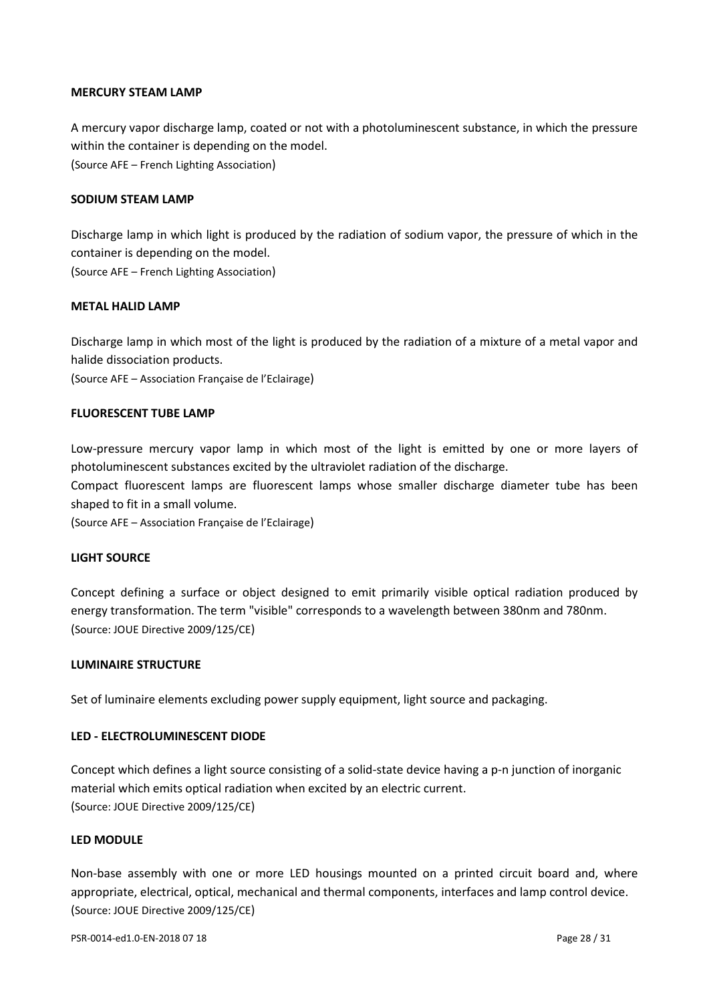#### **MERCURY STEAM LAMP**

A mercury vapor discharge lamp, coated or not with a photoluminescent substance, in which the pressure within the container is depending on the model. (Source AFE – French Lighting Association)

#### **SODIUM STEAM LAMP**

Discharge lamp in which light is produced by the radiation of sodium vapor, the pressure of which in the container is depending on the model.

(Source AFE – French Lighting Association)

#### **METAL HALID LAMP**

Discharge lamp in which most of the light is produced by the radiation of a mixture of a metal vapor and halide dissociation products.

(Source AFE – Association Française de l'Eclairage)

#### **FLUORESCENT TUBE LAMP**

Low-pressure mercury vapor lamp in which most of the light is emitted by one or more layers of photoluminescent substances excited by the ultraviolet radiation of the discharge.

Compact fluorescent lamps are fluorescent lamps whose smaller discharge diameter tube has been shaped to fit in a small volume.

(Source AFE – Association Française de l'Eclairage)

#### **LIGHT SOURCE**

Concept defining a surface or object designed to emit primarily visible optical radiation produced by energy transformation. The term "visible" corresponds to a wavelength between 380nm and 780nm. (Source: JOUE Directive 2009/125/CE)

#### **LUMINAIRE STRUCTURE**

Set of luminaire elements excluding power supply equipment, light source and packaging.

#### **LED - ELECTROLUMINESCENT DIODE**

Concept which defines a light source consisting of a solid-state device having a p-n junction of inorganic material which emits optical radiation when excited by an electric current. (Source: JOUE Directive 2009/125/CE)

#### **LED MODULE**

Non-base assembly with one or more LED housings mounted on a printed circuit board and, where appropriate, electrical, optical, mechanical and thermal components, interfaces and lamp control device. (Source: JOUE Directive 2009/125/CE)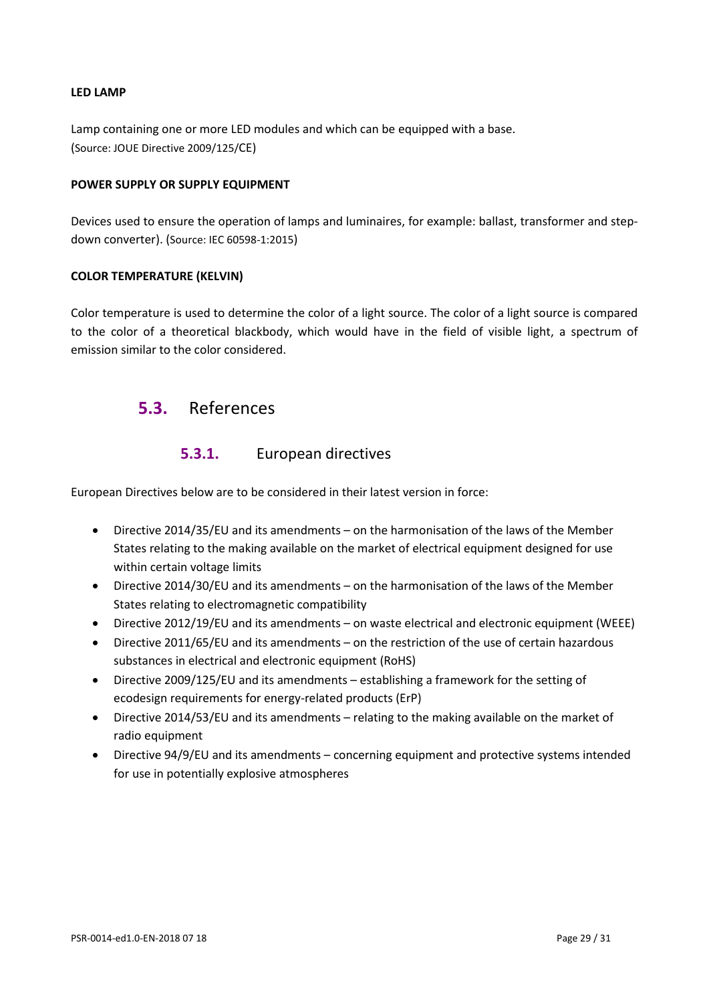#### **LED LAMP**

Lamp containing one or more LED modules and which can be equipped with a base. (Source: JOUE Directive 2009/125/CE)

#### **POWER SUPPLY OR SUPPLY EQUIPMENT**

Devices used to ensure the operation of lamps and luminaires, for example: ballast, transformer and stepdown converter). (Source: IEC 60598-1:2015)

#### **COLOR TEMPERATURE (KELVIN)**

<span id="page-28-0"></span>Color temperature is used to determine the color of a light source. The color of a light source is compared to the color of a theoretical blackbody, which would have in the field of visible light, a spectrum of emission similar to the color considered.

### **5.3.** References

### **5.3.1.** European directives

European Directives below are to be considered in their latest version in force:

- Directive 2014/35/EU and its amendments on the harmonisation of the laws of the Member States relating to the making available on the market of electrical equipment designed for use within certain voltage limits
- Directive 2014/30/EU and its amendments on the harmonisation of the laws of the Member States relating to electromagnetic compatibility
- Directive 2012/19/EU and its amendments on waste electrical and electronic equipment (WEEE)
- Directive 2011/65/EU and its amendments on the restriction of the use of certain hazardous substances in electrical and electronic equipment (RoHS)
- Directive 2009/125/EU and its amendments establishing a framework for the setting of ecodesign requirements for energy-related products (ErP)
- Directive 2014/53/EU and its amendments relating to the making available on the market of radio equipment
- Directive 94/9/EU and its amendments concerning equipment and protective systems intended for use in potentially explosive atmospheres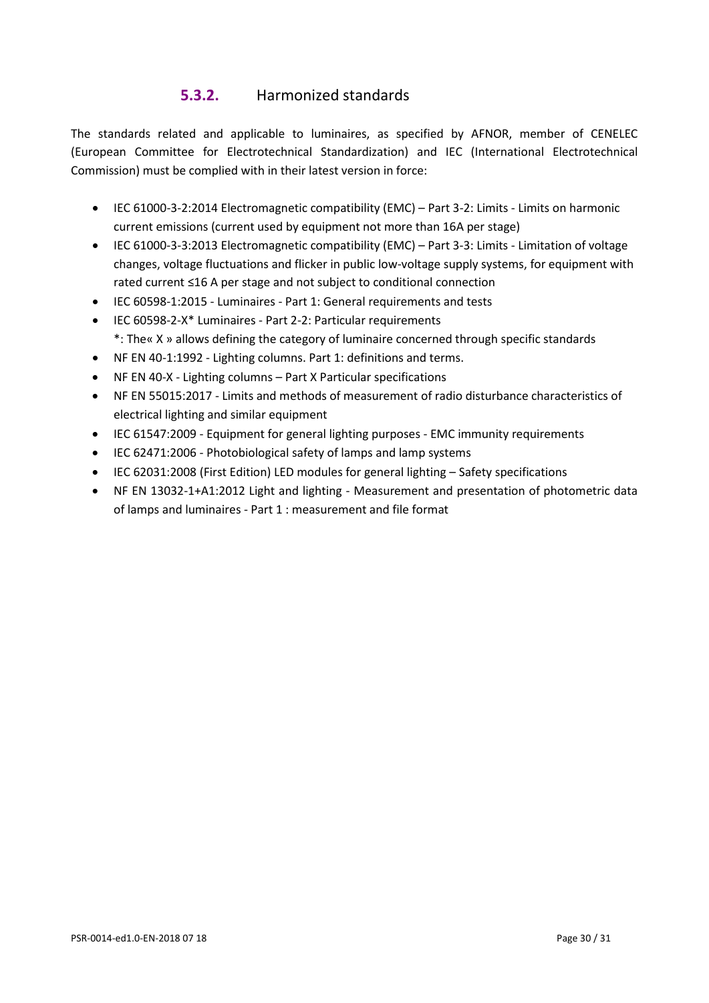### **5.3.2.** Harmonized standards

The standards related and applicable to luminaires, as specified by AFNOR, member of CENELEC (European Committee for Electrotechnical Standardization) and IEC (International Electrotechnical Commission) must be complied with in their latest version in force:

- IEC 61000-3-2:2014 Electromagnetic compatibility (EMC) Part 3-2: Limits Limits on harmonic current emissions (current used by equipment not more than 16A per stage)
- IEC 61000-3-3:2013 Electromagnetic compatibility (EMC) Part 3-3: Limits Limitation of voltage changes, voltage fluctuations and flicker in public low-voltage supply systems, for equipment with rated current ≤16 A per stage and not subject to conditional connection
- IEC 60598-1:2015 Luminaires Part 1: General requirements and tests
- IEC 60598-2-X\* Luminaires Part 2-2: Particular requirements \*: The« X » allows defining the category of luminaire concerned through specific standards
- NF EN 40-1:1992 Lighting columns. Part 1: definitions and terms.
- NF EN 40-X Lighting columns Part X Particular specifications
- NF EN 55015:2017 Limits and methods of measurement of radio disturbance characteristics of electrical lighting and similar equipment
- IEC 61547:2009 Equipment for general lighting purposes EMC immunity requirements
- IEC 62471:2006 Photobiological safety of lamps and lamp systems
- IEC 62031:2008 (First Edition) LED modules for general lighting Safety specifications
- NF EN 13032-1+A1:2012 Light and lighting Measurement and presentation of photometric data of lamps and luminaires - Part 1 : measurement and file format